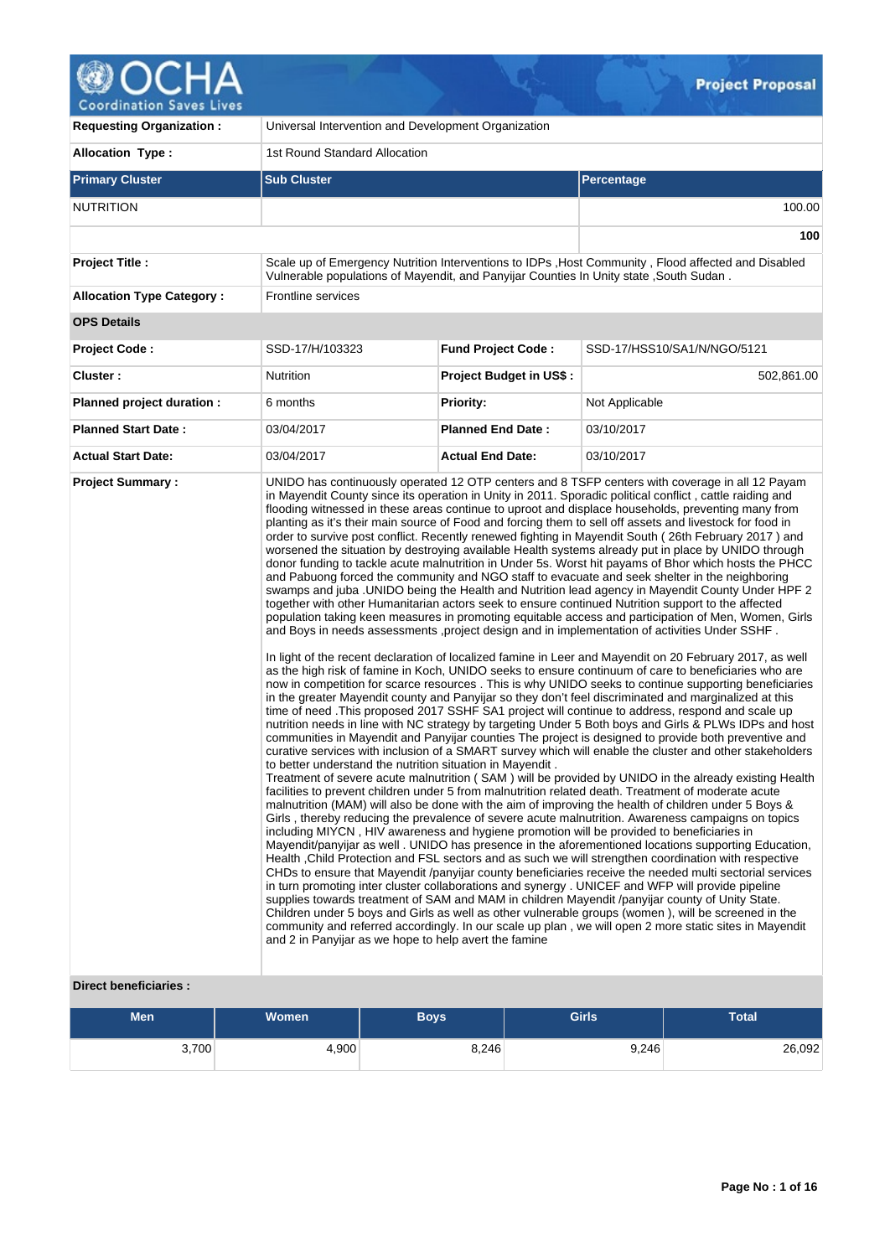

| <b>Requesting Organization:</b>  | Universal Intervention and Development Organization                                                                |                                |                                                                                                                                                                                                                                                                                                                                                                                                                                                                                                                                                                                                                                                                                                                                                                                                                                                                                                                                                                                                                                                                                                                                                                                                                                                                                                                                                                                                                                                                                                                                                                                                                                                                                                                                                                                                                                                                                                                                                                                                                                                                                                                                                                                                                                                                                                                                                                                                                                                                                                                                                                                                                                                                                                                                                                                                                                                                                                                                                                                                                                                                                                                                                                                                                                                                                                                                 |
|----------------------------------|--------------------------------------------------------------------------------------------------------------------|--------------------------------|---------------------------------------------------------------------------------------------------------------------------------------------------------------------------------------------------------------------------------------------------------------------------------------------------------------------------------------------------------------------------------------------------------------------------------------------------------------------------------------------------------------------------------------------------------------------------------------------------------------------------------------------------------------------------------------------------------------------------------------------------------------------------------------------------------------------------------------------------------------------------------------------------------------------------------------------------------------------------------------------------------------------------------------------------------------------------------------------------------------------------------------------------------------------------------------------------------------------------------------------------------------------------------------------------------------------------------------------------------------------------------------------------------------------------------------------------------------------------------------------------------------------------------------------------------------------------------------------------------------------------------------------------------------------------------------------------------------------------------------------------------------------------------------------------------------------------------------------------------------------------------------------------------------------------------------------------------------------------------------------------------------------------------------------------------------------------------------------------------------------------------------------------------------------------------------------------------------------------------------------------------------------------------------------------------------------------------------------------------------------------------------------------------------------------------------------------------------------------------------------------------------------------------------------------------------------------------------------------------------------------------------------------------------------------------------------------------------------------------------------------------------------------------------------------------------------------------------------------------------------------------------------------------------------------------------------------------------------------------------------------------------------------------------------------------------------------------------------------------------------------------------------------------------------------------------------------------------------------------------------------------------------------------------------------------------------------------|
| <b>Allocation Type:</b>          | 1st Round Standard Allocation                                                                                      |                                |                                                                                                                                                                                                                                                                                                                                                                                                                                                                                                                                                                                                                                                                                                                                                                                                                                                                                                                                                                                                                                                                                                                                                                                                                                                                                                                                                                                                                                                                                                                                                                                                                                                                                                                                                                                                                                                                                                                                                                                                                                                                                                                                                                                                                                                                                                                                                                                                                                                                                                                                                                                                                                                                                                                                                                                                                                                                                                                                                                                                                                                                                                                                                                                                                                                                                                                                 |
| <b>Primary Cluster</b>           | <b>Sub Cluster</b>                                                                                                 |                                | <b>Percentage</b>                                                                                                                                                                                                                                                                                                                                                                                                                                                                                                                                                                                                                                                                                                                                                                                                                                                                                                                                                                                                                                                                                                                                                                                                                                                                                                                                                                                                                                                                                                                                                                                                                                                                                                                                                                                                                                                                                                                                                                                                                                                                                                                                                                                                                                                                                                                                                                                                                                                                                                                                                                                                                                                                                                                                                                                                                                                                                                                                                                                                                                                                                                                                                                                                                                                                                                               |
| <b>NUTRITION</b>                 |                                                                                                                    |                                | 100.00                                                                                                                                                                                                                                                                                                                                                                                                                                                                                                                                                                                                                                                                                                                                                                                                                                                                                                                                                                                                                                                                                                                                                                                                                                                                                                                                                                                                                                                                                                                                                                                                                                                                                                                                                                                                                                                                                                                                                                                                                                                                                                                                                                                                                                                                                                                                                                                                                                                                                                                                                                                                                                                                                                                                                                                                                                                                                                                                                                                                                                                                                                                                                                                                                                                                                                                          |
|                                  |                                                                                                                    |                                | 100                                                                                                                                                                                                                                                                                                                                                                                                                                                                                                                                                                                                                                                                                                                                                                                                                                                                                                                                                                                                                                                                                                                                                                                                                                                                                                                                                                                                                                                                                                                                                                                                                                                                                                                                                                                                                                                                                                                                                                                                                                                                                                                                                                                                                                                                                                                                                                                                                                                                                                                                                                                                                                                                                                                                                                                                                                                                                                                                                                                                                                                                                                                                                                                                                                                                                                                             |
| <b>Project Title:</b>            | Vulnerable populations of Mayendit, and Panyijar Counties In Unity state , South Sudan.                            |                                | Scale up of Emergency Nutrition Interventions to IDPs, Host Community, Flood affected and Disabled                                                                                                                                                                                                                                                                                                                                                                                                                                                                                                                                                                                                                                                                                                                                                                                                                                                                                                                                                                                                                                                                                                                                                                                                                                                                                                                                                                                                                                                                                                                                                                                                                                                                                                                                                                                                                                                                                                                                                                                                                                                                                                                                                                                                                                                                                                                                                                                                                                                                                                                                                                                                                                                                                                                                                                                                                                                                                                                                                                                                                                                                                                                                                                                                                              |
| <b>Allocation Type Category:</b> | Frontline services                                                                                                 |                                |                                                                                                                                                                                                                                                                                                                                                                                                                                                                                                                                                                                                                                                                                                                                                                                                                                                                                                                                                                                                                                                                                                                                                                                                                                                                                                                                                                                                                                                                                                                                                                                                                                                                                                                                                                                                                                                                                                                                                                                                                                                                                                                                                                                                                                                                                                                                                                                                                                                                                                                                                                                                                                                                                                                                                                                                                                                                                                                                                                                                                                                                                                                                                                                                                                                                                                                                 |
| <b>OPS Details</b>               |                                                                                                                    |                                |                                                                                                                                                                                                                                                                                                                                                                                                                                                                                                                                                                                                                                                                                                                                                                                                                                                                                                                                                                                                                                                                                                                                                                                                                                                                                                                                                                                                                                                                                                                                                                                                                                                                                                                                                                                                                                                                                                                                                                                                                                                                                                                                                                                                                                                                                                                                                                                                                                                                                                                                                                                                                                                                                                                                                                                                                                                                                                                                                                                                                                                                                                                                                                                                                                                                                                                                 |
| <b>Project Code:</b>             | SSD-17/H/103323                                                                                                    | <b>Fund Project Code:</b>      | SSD-17/HSS10/SA1/N/NGO/5121                                                                                                                                                                                                                                                                                                                                                                                                                                                                                                                                                                                                                                                                                                                                                                                                                                                                                                                                                                                                                                                                                                                                                                                                                                                                                                                                                                                                                                                                                                                                                                                                                                                                                                                                                                                                                                                                                                                                                                                                                                                                                                                                                                                                                                                                                                                                                                                                                                                                                                                                                                                                                                                                                                                                                                                                                                                                                                                                                                                                                                                                                                                                                                                                                                                                                                     |
| Cluster:                         | Nutrition                                                                                                          | <b>Project Budget in US\$:</b> | 502,861.00                                                                                                                                                                                                                                                                                                                                                                                                                                                                                                                                                                                                                                                                                                                                                                                                                                                                                                                                                                                                                                                                                                                                                                                                                                                                                                                                                                                                                                                                                                                                                                                                                                                                                                                                                                                                                                                                                                                                                                                                                                                                                                                                                                                                                                                                                                                                                                                                                                                                                                                                                                                                                                                                                                                                                                                                                                                                                                                                                                                                                                                                                                                                                                                                                                                                                                                      |
| Planned project duration :       | 6 months                                                                                                           | <b>Priority:</b>               | Not Applicable                                                                                                                                                                                                                                                                                                                                                                                                                                                                                                                                                                                                                                                                                                                                                                                                                                                                                                                                                                                                                                                                                                                                                                                                                                                                                                                                                                                                                                                                                                                                                                                                                                                                                                                                                                                                                                                                                                                                                                                                                                                                                                                                                                                                                                                                                                                                                                                                                                                                                                                                                                                                                                                                                                                                                                                                                                                                                                                                                                                                                                                                                                                                                                                                                                                                                                                  |
| <b>Planned Start Date:</b>       | 03/04/2017                                                                                                         | <b>Planned End Date:</b>       | 03/10/2017                                                                                                                                                                                                                                                                                                                                                                                                                                                                                                                                                                                                                                                                                                                                                                                                                                                                                                                                                                                                                                                                                                                                                                                                                                                                                                                                                                                                                                                                                                                                                                                                                                                                                                                                                                                                                                                                                                                                                                                                                                                                                                                                                                                                                                                                                                                                                                                                                                                                                                                                                                                                                                                                                                                                                                                                                                                                                                                                                                                                                                                                                                                                                                                                                                                                                                                      |
| <b>Actual Start Date:</b>        | 03/04/2017                                                                                                         | <b>Actual End Date:</b>        | 03/10/2017                                                                                                                                                                                                                                                                                                                                                                                                                                                                                                                                                                                                                                                                                                                                                                                                                                                                                                                                                                                                                                                                                                                                                                                                                                                                                                                                                                                                                                                                                                                                                                                                                                                                                                                                                                                                                                                                                                                                                                                                                                                                                                                                                                                                                                                                                                                                                                                                                                                                                                                                                                                                                                                                                                                                                                                                                                                                                                                                                                                                                                                                                                                                                                                                                                                                                                                      |
|                                  | to better understand the nutrition situation in Mayendit.<br>and 2 in Panyijar as we hope to help avert the famine |                                | in Mayendit County since its operation in Unity in 2011. Sporadic political conflict, cattle raiding and<br>flooding witnessed in these areas continue to uproot and displace households, preventing many from<br>planting as it's their main source of Food and forcing them to sell off assets and livestock for food in<br>order to survive post conflict. Recently renewed fighting in Mayendit South (26th February 2017) and<br>worsened the situation by destroying available Health systems already put in place by UNIDO through<br>donor funding to tackle acute malnutrition in Under 5s. Worst hit payams of Bhor which hosts the PHCC<br>and Pabuong forced the community and NGO staff to evacuate and seek shelter in the neighboring<br>swamps and juba .UNIDO being the Health and Nutrition lead agency in Mayendit County Under HPF 2<br>together with other Humanitarian actors seek to ensure continued Nutrition support to the affected<br>population taking keen measures in promoting equitable access and participation of Men, Women, Girls<br>and Boys in needs assessments , project design and in implementation of activities Under SSHF.<br>In light of the recent declaration of localized famine in Leer and Mayendit on 20 February 2017, as well<br>as the high risk of famine in Koch, UNIDO seeks to ensure continuum of care to beneficiaries who are<br>now in competition for scarce resources. This is why UNIDO seeks to continue supporting beneficiaries<br>in the greater Mayendit county and Panyijar so they don't feel discriminated and marginalized at this<br>time of need . This proposed 2017 SSHF SA1 project will continue to address, respond and scale up<br>nutrition needs in line with NC strategy by targeting Under 5 Both boys and Girls & PLWs IDPs and host<br>communities in Mayendit and Panyijar counties The project is designed to provide both preventive and<br>curative services with inclusion of a SMART survey which will enable the cluster and other stakeholders<br>Treatment of severe acute malnutrition (SAM) will be provided by UNIDO in the already existing Health<br>facilities to prevent children under 5 from malnutrition related death. Treatment of moderate acute<br>malnutrition (MAM) will also be done with the aim of improving the health of children under 5 Boys &<br>Girls, thereby reducing the prevalence of severe acute malnutrition. Awareness campaigns on topics<br>including MIYCN, HIV awareness and hygiene promotion will be provided to beneficiaries in<br>Mayendit/panyijar as well. UNIDO has presence in the aforementioned locations supporting Education,<br>Health , Child Protection and FSL sectors and as such we will strengthen coordination with respective<br>CHDs to ensure that Mayendit /panyijar county beneficiaries receive the needed multi sectorial services<br>in turn promoting inter cluster collaborations and synergy . UNICEF and WFP will provide pipeline<br>supplies towards treatment of SAM and MAM in children Mayendit /panyijar county of Unity State.<br>Children under 5 boys and Girls as well as other vulnerable groups (women), will be screened in the<br>community and referred accordingly. In our scale up plan, we will open 2 more static sites in Mayendit |

## **Direct beneficiaries :**

| <b>Men</b> | <b>Women</b> | Boys' | <b>Girls</b> | Total  |
|------------|--------------|-------|--------------|--------|
| 3,700      | 4,900        | 8,246 | 9,246        | 26,092 |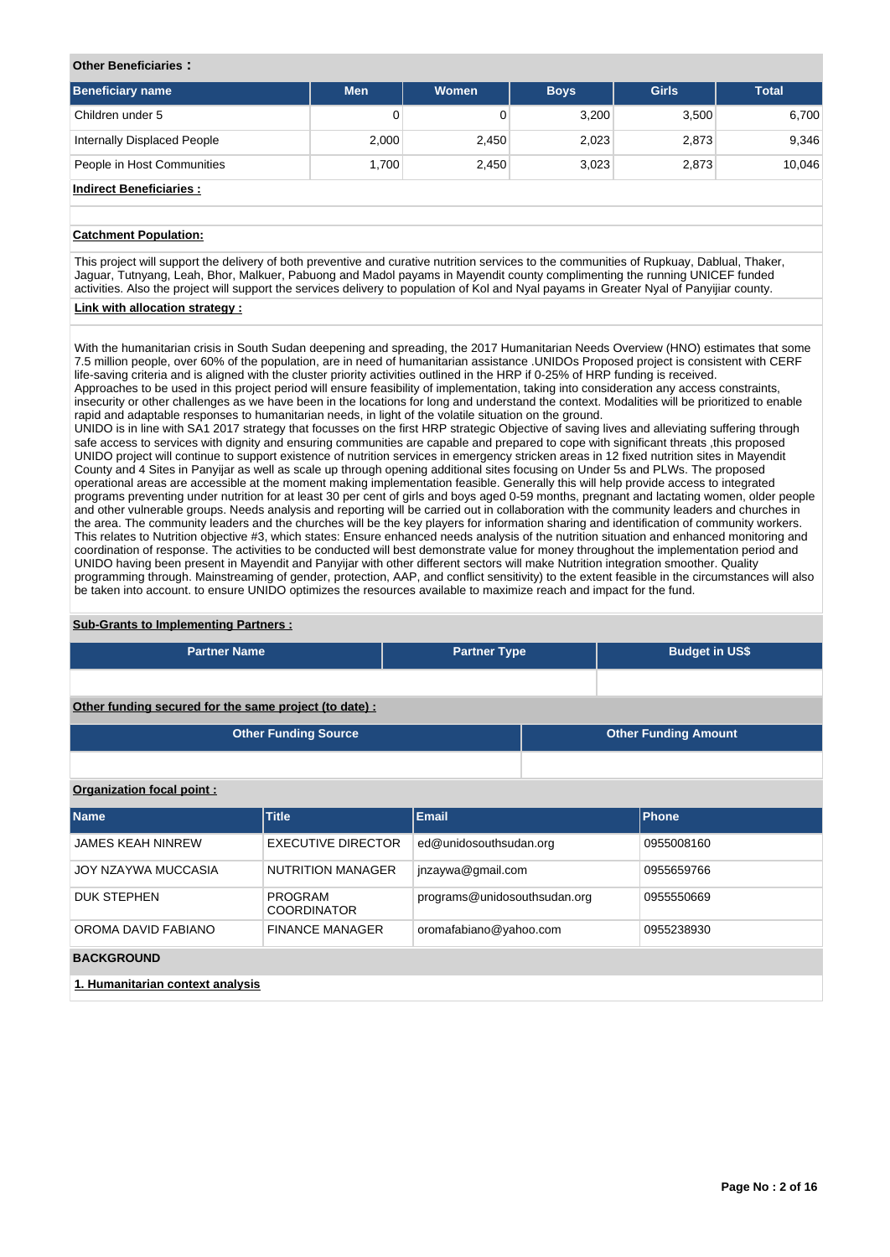#### **Other Beneficiaries :**

| <b>Beneficiary name</b>     | <b>Men</b> | <b>Women</b> | <b>Boys</b> | <b>Girls</b> | <b>Total</b> |
|-----------------------------|------------|--------------|-------------|--------------|--------------|
| Children under 5            | 0          |              | 3,200       | 3,500        | 6,700        |
| Internally Displaced People | 2,000      | 2,450        | 2,023       | 2,873        | 9,346        |
| People in Host Communities  | 1.700      | 2,450        | 3,023       | 2,873        | 10,046       |
| .                           |            |              |             |              |              |

## **Indirect Beneficiaries :**

## **Catchment Population:**

This project will support the delivery of both preventive and curative nutrition services to the communities of Rupkuay, Dablual, Thaker, Jaguar, Tutnyang, Leah, Bhor, Malkuer, Pabuong and Madol payams in Mayendit county complimenting the running UNICEF funded activities. Also the project will support the services delivery to population of Kol and Nyal payams in Greater Nyal of Panyijiar county.

#### **Link with allocation strategy :**

With the humanitarian crisis in South Sudan deepening and spreading, the 2017 Humanitarian Needs Overview (HNO) estimates that some 7.5 million people, over 60% of the population, are in need of humanitarian assistance .UNIDOs Proposed project is consistent with CERF life-saving criteria and is aligned with the cluster priority activities outlined in the HRP if 0-25% of HRP funding is received. Approaches to be used in this project period will ensure feasibility of implementation, taking into consideration any access constraints, insecurity or other challenges as we have been in the locations for long and understand the context. Modalities will be prioritized to enable rapid and adaptable responses to humanitarian needs, in light of the volatile situation on the ground.

UNIDO is in line with SA1 2017 strategy that focusses on the first HRP strategic Objective of saving lives and alleviating suffering through safe access to services with dignity and ensuring communities are capable and prepared to cope with significant threats ,this proposed UNIDO project will continue to support existence of nutrition services in emergency stricken areas in 12 fixed nutrition sites in Mayendit County and 4 Sites in Panyijar as well as scale up through opening additional sites focusing on Under 5s and PLWs. The proposed operational areas are accessible at the moment making implementation feasible. Generally this will help provide access to integrated programs preventing under nutrition for at least 30 per cent of girls and boys aged 0-59 months, pregnant and lactating women, older people and other vulnerable groups. Needs analysis and reporting will be carried out in collaboration with the community leaders and churches in the area. The community leaders and the churches will be the key players for information sharing and identification of community workers. This relates to Nutrition objective #3, which states: Ensure enhanced needs analysis of the nutrition situation and enhanced monitoring and coordination of response. The activities to be conducted will best demonstrate value for money throughout the implementation period and UNIDO having been present in Mayendit and Panyijar with other different sectors will make Nutrition integration smoother. Quality programming through. Mainstreaming of gender, protection, AAP, and conflict sensitivity) to the extent feasible in the circumstances will also be taken into account. to ensure UNIDO optimizes the resources available to maximize reach and impact for the fund.

#### **Sub-Grants to Implementing Partners :**

| <b>Partner Name</b>                                   | <b>Partner Type</b> | <b>Budget in US\$</b>       |
|-------------------------------------------------------|---------------------|-----------------------------|
|                                                       |                     |                             |
| Other funding secured for the same project (to date): |                     |                             |
| <b>Other Funding Source</b>                           |                     | <b>Other Funding Amount</b> |

#### **Organization focal point :**

| <b>Name</b>                      | <b>Title</b>                         | <b>Email</b>                 | <b>Phone</b> |  |  |  |  |  |
|----------------------------------|--------------------------------------|------------------------------|--------------|--|--|--|--|--|
| <b>JAMES KEAH NINREW</b>         | <b>EXECUTIVE DIRECTOR</b>            | ed@unidosouthsudan.org       | 0955008160   |  |  |  |  |  |
| JOY NZAYWA MUCCASIA              | <b>NUTRITION MANAGER</b>             | jnzaywa@gmail.com            | 0955659766   |  |  |  |  |  |
| <b>DUK STEPHEN</b>               | <b>PROGRAM</b><br><b>COORDINATOR</b> | programs@unidosouthsudan.org | 0955550669   |  |  |  |  |  |
| OROMA DAVID FABIANO              | <b>FINANCE MANAGER</b>               | oromafabiano@yahoo.com       | 0955238930   |  |  |  |  |  |
| <b>BACKGROUND</b>                |                                      |                              |              |  |  |  |  |  |
| 1. Humanitarian context analysis |                                      |                              |              |  |  |  |  |  |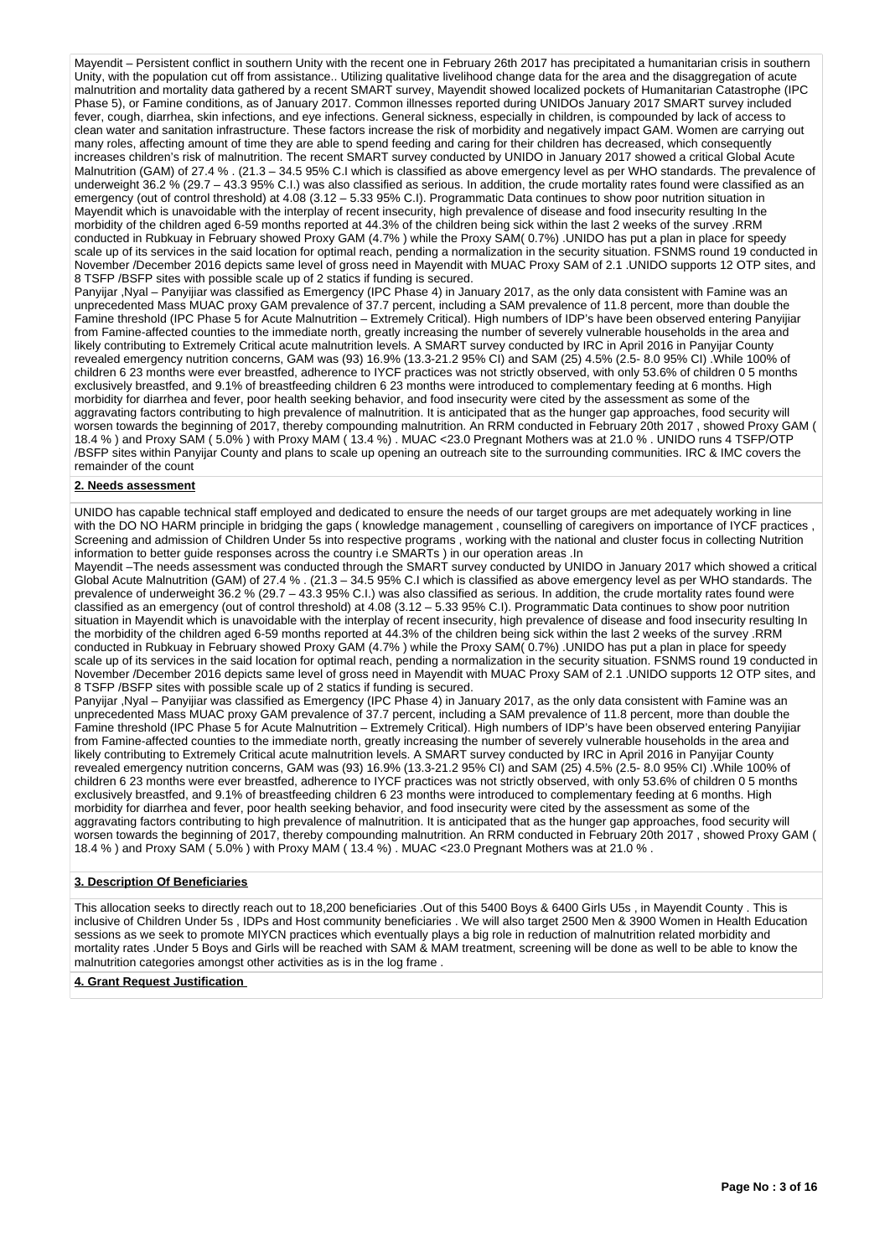Mayendit – Persistent conflict in southern Unity with the recent one in February 26th 2017 has precipitated a humanitarian crisis in southern Unity, with the population cut off from assistance.. Utilizing qualitative livelihood change data for the area and the disaggregation of acute malnutrition and mortality data gathered by a recent SMART survey, Mayendit showed localized pockets of Humanitarian Catastrophe (IPC Phase 5), or Famine conditions, as of January 2017. Common illnesses reported during UNIDOs January 2017 SMART survey included fever, cough, diarrhea, skin infections, and eye infections. General sickness, especially in children, is compounded by lack of access to clean water and sanitation infrastructure. These factors increase the risk of morbidity and negatively impact GAM. Women are carrying out many roles, affecting amount of time they are able to spend feeding and caring for their children has decreased, which consequently increases children's risk of malnutrition. The recent SMART survey conducted by UNIDO in January 2017 showed a critical Global Acute Malnutrition (GAM) of 27.4 % . (21.3 – 34.5 95% C.I which is classified as above emergency level as per WHO standards. The prevalence of underweight 36.2 % (29.7 – 43.3 95% C.I.) was also classified as serious. In addition, the crude mortality rates found were classified as an emergency (out of control threshold) at 4.08 (3.12 – 5.33 95% C.I). Programmatic Data continues to show poor nutrition situation in Mayendit which is unavoidable with the interplay of recent insecurity, high prevalence of disease and food insecurity resulting In the morbidity of the children aged 6-59 months reported at 44.3% of the children being sick within the last 2 weeks of the survey .RRM conducted in Rubkuay in February showed Proxy GAM (4.7% ) while the Proxy SAM( 0.7%) .UNIDO has put a plan in place for speedy scale up of its services in the said location for optimal reach, pending a normalization in the security situation. FSNMS round 19 conducted in November /December 2016 depicts same level of gross need in Mayendit with MUAC Proxy SAM of 2.1 .UNIDO supports 12 OTP sites, and 8 TSFP /BSFP sites with possible scale up of 2 statics if funding is secured.

Panyijar ,Nyal – Panyijiar was classified as Emergency (IPC Phase 4) in January 2017, as the only data consistent with Famine was an unprecedented Mass MUAC proxy GAM prevalence of 37.7 percent, including a SAM prevalence of 11.8 percent, more than double the Famine threshold (IPC Phase 5 for Acute Malnutrition – Extremely Critical). High numbers of IDP's have been observed entering Panyijiar from Famine-affected counties to the immediate north, greatly increasing the number of severely vulnerable households in the area and likely contributing to Extremely Critical acute malnutrition levels. A SMART survey conducted by IRC in April 2016 in Panyijar County revealed emergency nutrition concerns, GAM was (93) 16.9% (13.3-21.2 95% CI) and SAM (25) 4.5% (2.5- 8.0 95% CI) .While 100% of children 6 23 months were ever breastfed, adherence to IYCF practices was not strictly observed, with only 53.6% of children 0 5 months exclusively breastfed, and 9.1% of breastfeeding children 6 23 months were introduced to complementary feeding at 6 months. High morbidity for diarrhea and fever, poor health seeking behavior, and food insecurity were cited by the assessment as some of the aggravating factors contributing to high prevalence of malnutrition. It is anticipated that as the hunger gap approaches, food security will worsen towards the beginning of 2017, thereby compounding malnutrition. An RRM conducted in February 20th 2017 , showed Proxy GAM ( 18.4 % ) and Proxy SAM ( 5.0% ) with Proxy MAM ( 13.4 %) . MUAC <23.0 Pregnant Mothers was at 21.0 % . UNIDO runs 4 TSFP/OTP /BSFP sites within Panyijar County and plans to scale up opening an outreach site to the surrounding communities. IRC & IMC covers the remainder of the count

#### **2. Needs assessment**

UNIDO has capable technical staff employed and dedicated to ensure the needs of our target groups are met adequately working in line with the DO NO HARM principle in bridging the gaps (knowledge management, counselling of caregivers on importance of IYCF practices, Screening and admission of Children Under 5s into respective programs , working with the national and cluster focus in collecting Nutrition information to better guide responses across the country i.e SMARTs ) in our operation areas .In

Mayendit –The needs assessment was conducted through the SMART survey conducted by UNIDO in January 2017 which showed a critical Global Acute Malnutrition (GAM) of 27.4 % . (21.3 – 34.5 95% C.I which is classified as above emergency level as per WHO standards. The prevalence of underweight 36.2 % (29.7 – 43.3 95% C.I.) was also classified as serious. In addition, the crude mortality rates found were classified as an emergency (out of control threshold) at 4.08 (3.12 – 5.33 95% C.I). Programmatic Data continues to show poor nutrition situation in Mayendit which is unavoidable with the interplay of recent insecurity, high prevalence of disease and food insecurity resulting In the morbidity of the children aged 6-59 months reported at 44.3% of the children being sick within the last 2 weeks of the survey .RRM conducted in Rubkuay in February showed Proxy GAM (4.7% ) while the Proxy SAM( 0.7%) .UNIDO has put a plan in place for speedy scale up of its services in the said location for optimal reach, pending a normalization in the security situation. FSNMS round 19 conducted in November /December 2016 depicts same level of gross need in Mayendit with MUAC Proxy SAM of 2.1 .UNIDO supports 12 OTP sites, and 8 TSFP /BSFP sites with possible scale up of 2 statics if funding is secured.

Panyijar ,Nyal – Panyijiar was classified as Emergency (IPC Phase 4) in January 2017, as the only data consistent with Famine was an unprecedented Mass MUAC proxy GAM prevalence of 37.7 percent, including a SAM prevalence of 11.8 percent, more than double the Famine threshold (IPC Phase 5 for Acute Malnutrition – Extremely Critical). High numbers of IDP's have been observed entering Panyijiar from Famine-affected counties to the immediate north, greatly increasing the number of severely vulnerable households in the area and likely contributing to Extremely Critical acute malnutrition levels. A SMART survey conducted by IRC in April 2016 in Panyijar County revealed emergency nutrition concerns, GAM was (93) 16.9% (13.3-21.2 95% CI) and SAM (25) 4.5% (2.5- 8.0 95% CI) .While 100% of children 6 23 months were ever breastfed, adherence to IYCF practices was not strictly observed, with only 53.6% of children 0 5 months exclusively breastfed, and 9.1% of breastfeeding children 6 23 months were introduced to complementary feeding at 6 months. High morbidity for diarrhea and fever, poor health seeking behavior, and food insecurity were cited by the assessment as some of the aggravating factors contributing to high prevalence of malnutrition. It is anticipated that as the hunger gap approaches, food security will worsen towards the beginning of 2017, thereby compounding malnutrition. An RRM conducted in February 20th 2017 , showed Proxy GAM ( 18.4 % ) and Proxy SAM ( 5.0% ) with Proxy MAM ( 13.4 %) . MUAC <23.0 Pregnant Mothers was at 21.0 % .

## **3. Description Of Beneficiaries**

This allocation seeks to directly reach out to 18,200 beneficiaries .Out of this 5400 Boys & 6400 Girls U5s , in Mayendit County . This is inclusive of Children Under 5s , IDPs and Host community beneficiaries . We will also target 2500 Men & 3900 Women in Health Education sessions as we seek to promote MIYCN practices which eventually plays a big role in reduction of malnutrition related morbidity and mortality rates .Under 5 Boys and Girls will be reached with SAM & MAM treatment, screening will be done as well to be able to know the malnutrition categories amongst other activities as is in the log frame .

#### **4. Grant Request Justification**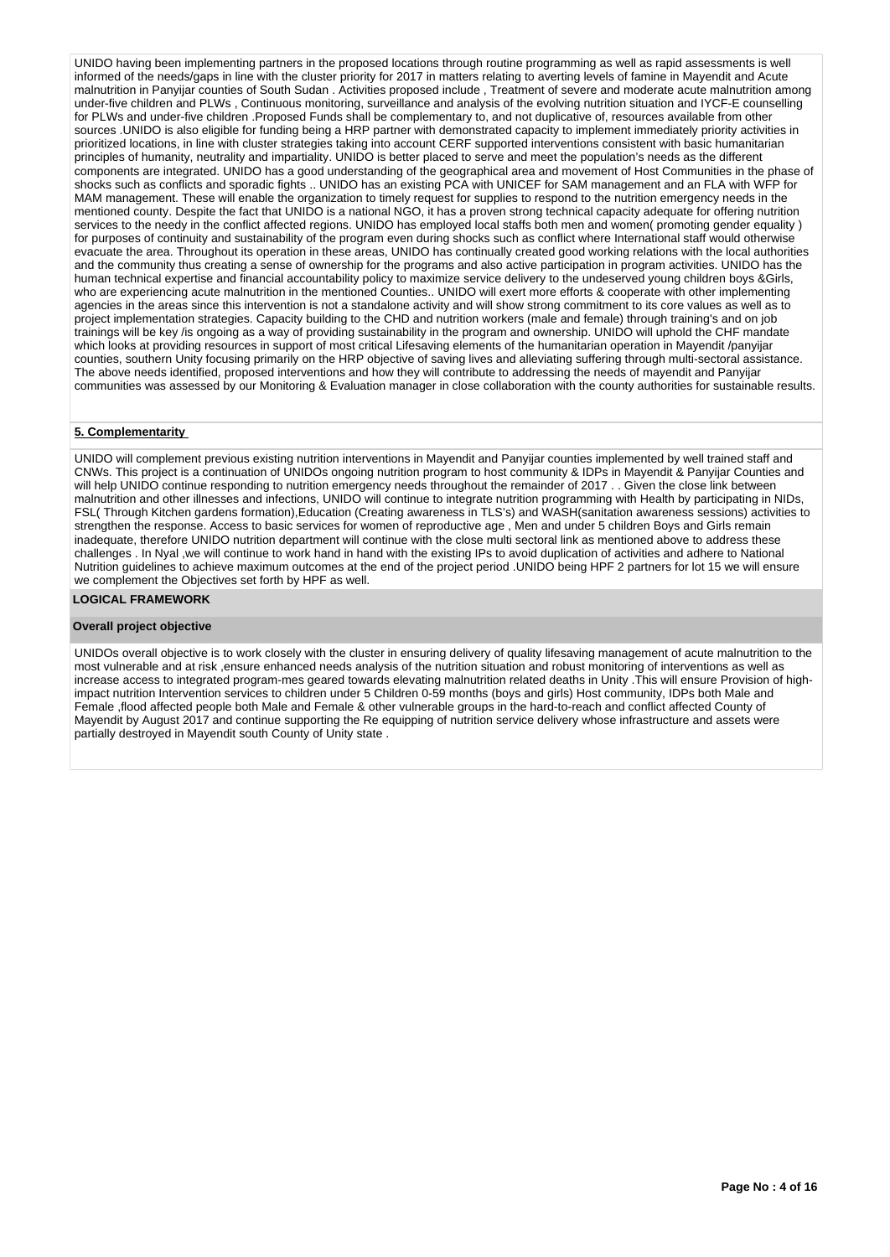UNIDO having been implementing partners in the proposed locations through routine programming as well as rapid assessments is well informed of the needs/gaps in line with the cluster priority for 2017 in matters relating to averting levels of famine in Mayendit and Acute malnutrition in Panyijar counties of South Sudan . Activities proposed include , Treatment of severe and moderate acute malnutrition among under-five children and PLWs, Continuous monitoring, surveillance and analysis of the evolving nutrition situation and IYCF-E counselling for PLWs and under-five children .Proposed Funds shall be complementary to, and not duplicative of, resources available from other sources .UNIDO is also eligible for funding being a HRP partner with demonstrated capacity to implement immediately priority activities in prioritized locations, in line with cluster strategies taking into account CERF supported interventions consistent with basic humanitarian principles of humanity, neutrality and impartiality. UNIDO is better placed to serve and meet the population's needs as the different components are integrated. UNIDO has a good understanding of the geographical area and movement of Host Communities in the phase of shocks such as conflicts and sporadic fights .. UNIDO has an existing PCA with UNICEF for SAM management and an FLA with WFP for MAM management. These will enable the organization to timely request for supplies to respond to the nutrition emergency needs in the mentioned county. Despite the fact that UNIDO is a national NGO, it has a proven strong technical capacity adequate for offering nutrition services to the needy in the conflict affected regions. UNIDO has employed local staffs both men and women( promoting gender equality) for purposes of continuity and sustainability of the program even during shocks such as conflict where International staff would otherwise evacuate the area. Throughout its operation in these areas, UNIDO has continually created good working relations with the local authorities and the community thus creating a sense of ownership for the programs and also active participation in program activities. UNIDO has the human technical expertise and financial accountability policy to maximize service delivery to the undeserved young children boys &Girls, who are experiencing acute malnutrition in the mentioned Counties.. UNIDO will exert more efforts & cooperate with other implementing agencies in the areas since this intervention is not a standalone activity and will show strong commitment to its core values as well as to project implementation strategies. Capacity building to the CHD and nutrition workers (male and female) through training's and on job trainings will be key /is ongoing as a way of providing sustainability in the program and ownership. UNIDO will uphold the CHF mandate which looks at providing resources in support of most critical Lifesaving elements of the humanitarian operation in Mayendit /panyijar counties, southern Unity focusing primarily on the HRP objective of saving lives and alleviating suffering through multi-sectoral assistance. The above needs identified, proposed interventions and how they will contribute to addressing the needs of mayendit and Panyijar communities was assessed by our Monitoring & Evaluation manager in close collaboration with the county authorities for sustainable results.

## **5. Complementarity**

UNIDO will complement previous existing nutrition interventions in Mayendit and Panyijar counties implemented by well trained staff and CNWs. This project is a continuation of UNIDOs ongoing nutrition program to host community & IDPs in Mayendit & Panyijar Counties and will help UNIDO continue responding to nutrition emergency needs throughout the remainder of 2017. . Given the close link between malnutrition and other illnesses and infections, UNIDO will continue to integrate nutrition programming with Health by participating in NIDs, FSL( Through Kitchen gardens formation),Education (Creating awareness in TLS's) and WASH(sanitation awareness sessions) activities to strengthen the response. Access to basic services for women of reproductive age , Men and under 5 children Boys and Girls remain inadequate, therefore UNIDO nutrition department will continue with the close multi sectoral link as mentioned above to address these challenges . In Nyal ,we will continue to work hand in hand with the existing IPs to avoid duplication of activities and adhere to National Nutrition guidelines to achieve maximum outcomes at the end of the project period .UNIDO being HPF 2 partners for lot 15 we will ensure we complement the Objectives set forth by HPF as well.

#### **LOGICAL FRAMEWORK**

#### **Overall project objective**

UNIDOs overall objective is to work closely with the cluster in ensuring delivery of quality lifesaving management of acute malnutrition to the most vulnerable and at risk ,ensure enhanced needs analysis of the nutrition situation and robust monitoring of interventions as well as increase access to integrated program-mes geared towards elevating malnutrition related deaths in Unity .This will ensure Provision of highimpact nutrition Intervention services to children under 5 Children 0-59 months (boys and girls) Host community, IDPs both Male and Female ,flood affected people both Male and Female & other vulnerable groups in the hard-to-reach and conflict affected County of Mayendit by August 2017 and continue supporting the Re equipping of nutrition service delivery whose infrastructure and assets were partially destroyed in Mayendit south County of Unity state .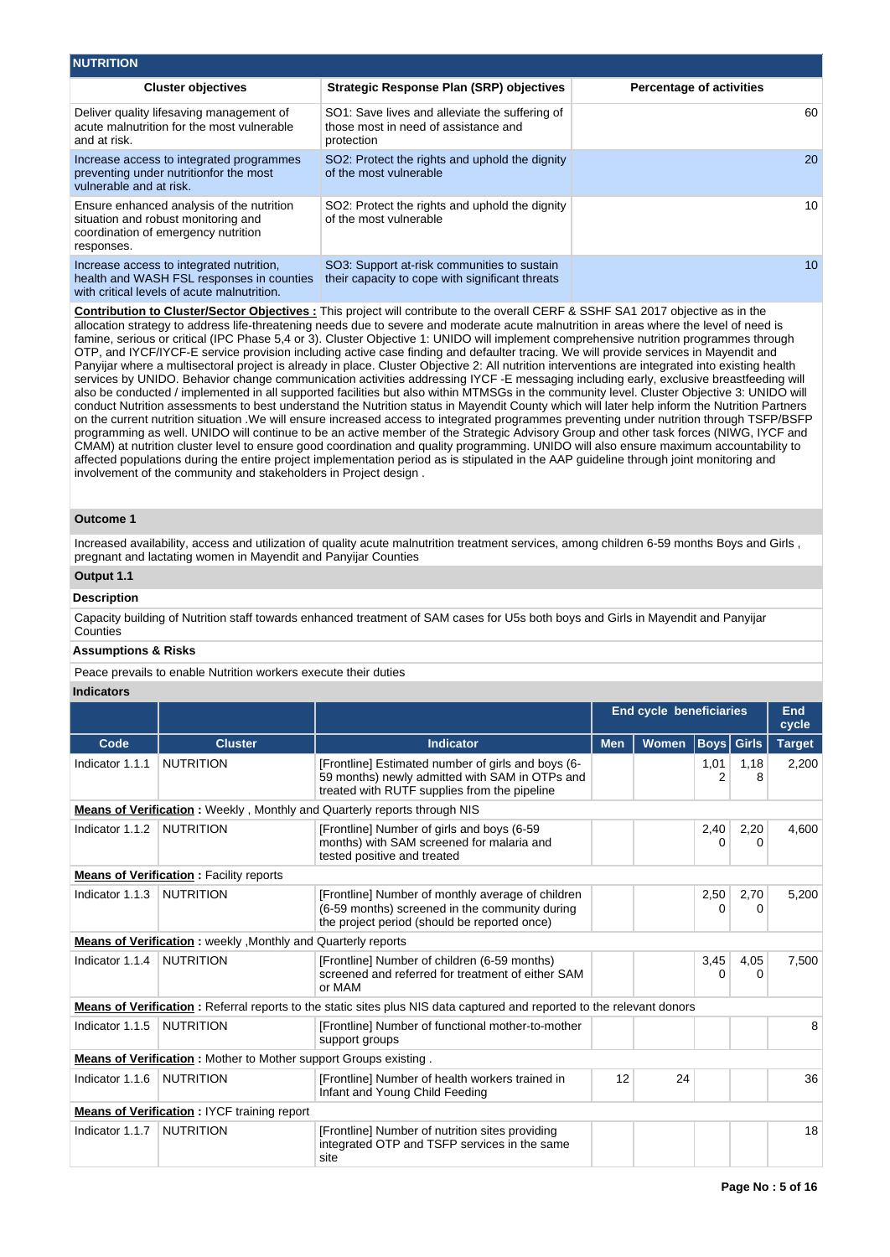| <b>NUTRITION</b>                                                                                                                      |                                                                                                      |                                 |
|---------------------------------------------------------------------------------------------------------------------------------------|------------------------------------------------------------------------------------------------------|---------------------------------|
| <b>Cluster objectives</b>                                                                                                             | <b>Strategic Response Plan (SRP) objectives</b>                                                      | <b>Percentage of activities</b> |
| Deliver quality lifesaving management of<br>acute malnutrition for the most vulnerable<br>and at risk.                                | SO1: Save lives and alleviate the suffering of<br>those most in need of assistance and<br>protection | 60                              |
| Increase access to integrated programmes<br>preventing under nutritionfor the most<br>vulnerable and at risk.                         | SO2: Protect the rights and uphold the dignity<br>of the most vulnerable                             | 20                              |
| Ensure enhanced analysis of the nutrition<br>situation and robust monitoring and<br>coordination of emergency nutrition<br>responses. | SO2: Protect the rights and uphold the dignity<br>of the most vulnerable                             | 10                              |
| Increase access to integrated nutrition,<br>health and WASH FSL responses in counties<br>with critical levels of acute malnutrition.  | SO3: Support at-risk communities to sustain<br>their capacity to cope with significant threats       | 10 <sup>1</sup>                 |

**Contribution to Cluster/Sector Objectives :** This project will contribute to the overall CERF & SSHF SA1 2017 objective as in the allocation strategy to address life-threatening needs due to severe and moderate acute malnutrition in areas where the level of need is famine, serious or critical (IPC Phase 5,4 or 3). Cluster Objective 1: UNIDO will implement comprehensive nutrition programmes through OTP, and IYCF/IYCF-E service provision including active case finding and defaulter tracing. We will provide services in Mayendit and Panyijar where a multisectoral project is already in place. Cluster Objective 2: All nutrition interventions are integrated into existing health services by UNIDO. Behavior change communication activities addressing IYCF -E messaging including early, exclusive breastfeeding will also be conducted / implemented in all supported facilities but also within MTMSGs in the community level. Cluster Objective 3: UNIDO will conduct Nutrition assessments to best understand the Nutrition status in Mayendit County which will later help inform the Nutrition Partners on the current nutrition situation .We will ensure increased access to integrated programmes preventing under nutrition through TSFP/BSFP programming as well. UNIDO will continue to be an active member of the Strategic Advisory Group and other task forces (NIWG, IYCF and CMAM) at nutrition cluster level to ensure good coordination and quality programming. UNIDO will also ensure maximum accountability to affected populations during the entire project implementation period as is stipulated in the AAP guideline through joint monitoring and involvement of the community and stakeholders in Project design .

## **Outcome 1**

Increased availability, access and utilization of quality acute malnutrition treatment services, among children 6-59 months Boys and Girls, pregnant and lactating women in Mayendit and Panyijar Counties

# **Output 1.1**

#### **Description**

Capacity building of Nutrition staff towards enhanced treatment of SAM cases for U5s both boys and Girls in Mayendit and Panyijar **Counties** 

## **Assumptions & Risks**

Peace prevails to enable Nutrition workers execute their duties

## **Indicators**

|                 |                                                                  |                                                                                                                                                      | <b>End cycle beneficiaries</b> |              |           |                   | <b>End</b><br>cycle |
|-----------------|------------------------------------------------------------------|------------------------------------------------------------------------------------------------------------------------------------------------------|--------------------------------|--------------|-----------|-------------------|---------------------|
| Code            | <b>Cluster</b>                                                   | <b>Indicator</b>                                                                                                                                     | <b>Men</b>                     | <b>Women</b> |           | <b>Boys</b> Girls | <b>Target</b>       |
| Indicator 1.1.1 | <b>NUTRITION</b>                                                 | [Frontline] Estimated number of girls and boys (6-<br>59 months) newly admitted with SAM in OTPs and<br>treated with RUTF supplies from the pipeline |                                |              | 1,01<br>2 | 1,18<br>8         | 2,200               |
|                 |                                                                  | <b>Means of Verification:</b> Weekly, Monthly and Quarterly reports through NIS                                                                      |                                |              |           |                   |                     |
| Indicator 1.1.2 | <b>NUTRITION</b>                                                 | [Frontline] Number of girls and boys (6-59<br>months) with SAM screened for malaria and<br>tested positive and treated                               |                                |              | 2,40<br>0 | 2,20<br>0         | 4,600               |
|                 | <b>Means of Verification:</b> Facility reports                   |                                                                                                                                                      |                                |              |           |                   |                     |
| Indicator 1.1.3 | <b>NUTRITION</b>                                                 | [Frontline] Number of monthly average of children<br>(6-59 months) screened in the community during<br>the project period (should be reported once)  |                                |              | 2,50<br>0 | 2,70<br>0         | 5,200               |
|                 | Means of Verification: weekly, Monthly and Quarterly reports     |                                                                                                                                                      |                                |              |           |                   |                     |
| Indicator 1.1.4 | <b>NUTRITION</b>                                                 | [Frontline] Number of children (6-59 months)<br>screened and referred for treatment of either SAM<br>or MAM                                          |                                |              | 3,45<br>0 | 4,05<br>$\Omega$  | 7,500               |
|                 |                                                                  | <b>Means of Verification</b> : Referral reports to the static sites plus NIS data captured and reported to the relevant donors                       |                                |              |           |                   |                     |
| Indicator 1.1.5 | <b>NUTRITION</b>                                                 | [Frontline] Number of functional mother-to-mother<br>support groups                                                                                  |                                |              |           |                   | 8                   |
|                 | Means of Verification: Mother to Mother support Groups existing. |                                                                                                                                                      |                                |              |           |                   |                     |
| Indicator 1.1.6 | <b>NUTRITION</b>                                                 | [Frontline] Number of health workers trained in<br>Infant and Young Child Feeding                                                                    | 12                             | 24           |           |                   | 36                  |
|                 | <b>Means of Verification: IYCF training report</b>               |                                                                                                                                                      |                                |              |           |                   |                     |
| Indicator 1.1.7 | <b>NUTRITION</b>                                                 | [Frontline] Number of nutrition sites providing<br>integrated OTP and TSFP services in the same<br>site                                              |                                |              |           |                   | 18                  |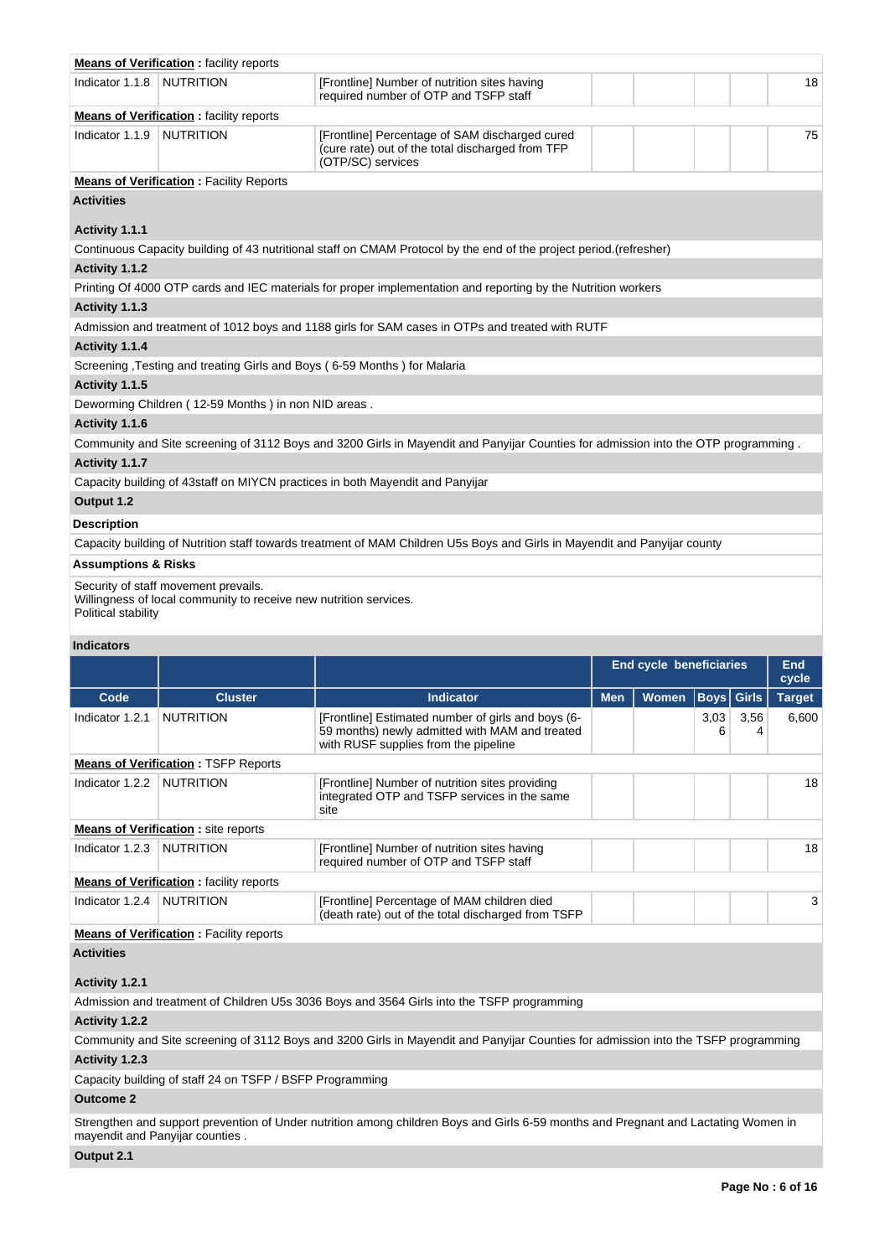|                                | <b>Means of Verification:</b> facility reports                                                            |                                                                                                                                              |            |                                |           |              |               |
|--------------------------------|-----------------------------------------------------------------------------------------------------------|----------------------------------------------------------------------------------------------------------------------------------------------|------------|--------------------------------|-----------|--------------|---------------|
| Indicator 1.1.8                | <b>NUTRITION</b>                                                                                          | [Frontline] Number of nutrition sites having<br>required number of OTP and TSFP staff                                                        |            |                                |           |              | 18            |
|                                | <b>Means of Verification : facility reports</b>                                                           |                                                                                                                                              |            |                                |           |              |               |
| Indicator 1.1.9                | <b>NUTRITION</b>                                                                                          | [Frontline] Percentage of SAM discharged cured<br>(cure rate) out of the total discharged from TFP<br>(OTP/SC) services                      |            |                                |           |              | 75            |
|                                | <b>Means of Verification: Facility Reports</b>                                                            |                                                                                                                                              |            |                                |           |              |               |
| <b>Activities</b>              |                                                                                                           |                                                                                                                                              |            |                                |           |              |               |
|                                |                                                                                                           |                                                                                                                                              |            |                                |           |              |               |
| Activity 1.1.1                 |                                                                                                           |                                                                                                                                              |            |                                |           |              |               |
|                                |                                                                                                           | Continuous Capacity building of 43 nutritional staff on CMAM Protocol by the end of the project period.(refresher)                           |            |                                |           |              |               |
| Activity 1.1.2                 |                                                                                                           |                                                                                                                                              |            |                                |           |              |               |
|                                |                                                                                                           | Printing Of 4000 OTP cards and IEC materials for proper implementation and reporting by the Nutrition workers                                |            |                                |           |              |               |
| Activity 1.1.3                 |                                                                                                           |                                                                                                                                              |            |                                |           |              |               |
|                                |                                                                                                           | Admission and treatment of 1012 boys and 1188 girls for SAM cases in OTPs and treated with RUTF                                              |            |                                |           |              |               |
| Activity 1.1.4                 |                                                                                                           |                                                                                                                                              |            |                                |           |              |               |
|                                |                                                                                                           | Screening, Testing and treating Girls and Boys (6-59 Months) for Malaria                                                                     |            |                                |           |              |               |
| Activity 1.1.5                 |                                                                                                           |                                                                                                                                              |            |                                |           |              |               |
|                                | Deworming Children (12-59 Months) in non NID areas.                                                       |                                                                                                                                              |            |                                |           |              |               |
| Activity 1.1.6                 |                                                                                                           |                                                                                                                                              |            |                                |           |              |               |
|                                |                                                                                                           | Community and Site screening of 3112 Boys and 3200 Girls in Mayendit and Panyijar Counties for admission into the OTP programming.           |            |                                |           |              |               |
| Activity 1.1.7                 |                                                                                                           |                                                                                                                                              |            |                                |           |              |               |
|                                |                                                                                                           | Capacity building of 43staff on MIYCN practices in both Mayendit and Panyijar                                                                |            |                                |           |              |               |
| Output 1.2                     |                                                                                                           |                                                                                                                                              |            |                                |           |              |               |
| Description                    |                                                                                                           |                                                                                                                                              |            |                                |           |              |               |
|                                |                                                                                                           | Capacity building of Nutrition staff towards treatment of MAM Children U5s Boys and Girls in Mayendit and Panyijar county                    |            |                                |           |              |               |
| <b>Assumptions &amp; Risks</b> |                                                                                                           |                                                                                                                                              |            |                                |           |              |               |
|                                |                                                                                                           |                                                                                                                                              |            |                                |           |              |               |
| Political stability            | Security of staff movement prevails.<br>Willingness of local community to receive new nutrition services. |                                                                                                                                              |            |                                |           |              |               |
| <b>Indicators</b>              |                                                                                                           |                                                                                                                                              |            |                                |           |              |               |
|                                |                                                                                                           |                                                                                                                                              |            | <b>End cycle beneficiaries</b> |           |              | <b>End</b>    |
|                                |                                                                                                           |                                                                                                                                              |            |                                |           |              | cycle         |
| Code                           | <b>Cluster</b>                                                                                            | <b>Indicator</b>                                                                                                                             | <b>Men</b> | Women                          | Boys      | <b>Girls</b> | <b>Target</b> |
| Indicator 1.2.1                | <b>NUTRITION</b>                                                                                          | [Frontline] Estimated number of girls and boys (6-<br>59 months) newly admitted with MAM and treated<br>with RUSF supplies from the pipeline |            |                                | 3,03<br>6 | 3,56<br>4    | 6,600         |
|                                | <b>Means of Verification: TSFP Reports</b>                                                                |                                                                                                                                              |            |                                |           |              |               |
| Indicator $1.2.2$              | <b>NUTRITION</b>                                                                                          | [Frontline] Number of nutrition sites providing<br>integrated OTP and TSFP services in the same<br>site                                      |            |                                |           |              | 18            |
|                                | <b>Means of Verification:</b> site reports                                                                |                                                                                                                                              |            |                                |           |              |               |
| Indicator 1.2.3                | <b>NUTRITION</b>                                                                                          | [Frontline] Number of nutrition sites having                                                                                                 |            |                                |           |              | 18            |
|                                |                                                                                                           | required number of OTP and TSFP staff                                                                                                        |            |                                |           |              |               |
|                                | <b>Means of Verification:</b> facility reports                                                            |                                                                                                                                              |            |                                |           |              |               |
| Indicator 1.2.4                | <b>NUTRITION</b>                                                                                          | [Frontline] Percentage of MAM children died<br>(death rate) out of the total discharged from TSFP                                            |            |                                |           |              | 3             |
|                                | <b>Means of Verification: Facility reports</b>                                                            |                                                                                                                                              |            |                                |           |              |               |
| <b>Activities</b>              |                                                                                                           |                                                                                                                                              |            |                                |           |              |               |
| Activity 1.2.1                 |                                                                                                           |                                                                                                                                              |            |                                |           |              |               |
|                                |                                                                                                           | Admission and treatment of Children U5s 3036 Boys and 3564 Girls into the TSFP programming                                                   |            |                                |           |              |               |

# **Activity 1.2.2**

Community and Site screening of 3112 Boys and 3200 Girls in Mayendit and Panyijar Counties for admission into the TSFP programming **Activity 1.2.3** 

Capacity building of staff 24 on TSFP / BSFP Programming

## **Outcome 2**

Strengthen and support prevention of Under nutrition among children Boys and Girls 6-59 months and Pregnant and Lactating Women in mayendit and Panyijar counties .

# **Output 2.1**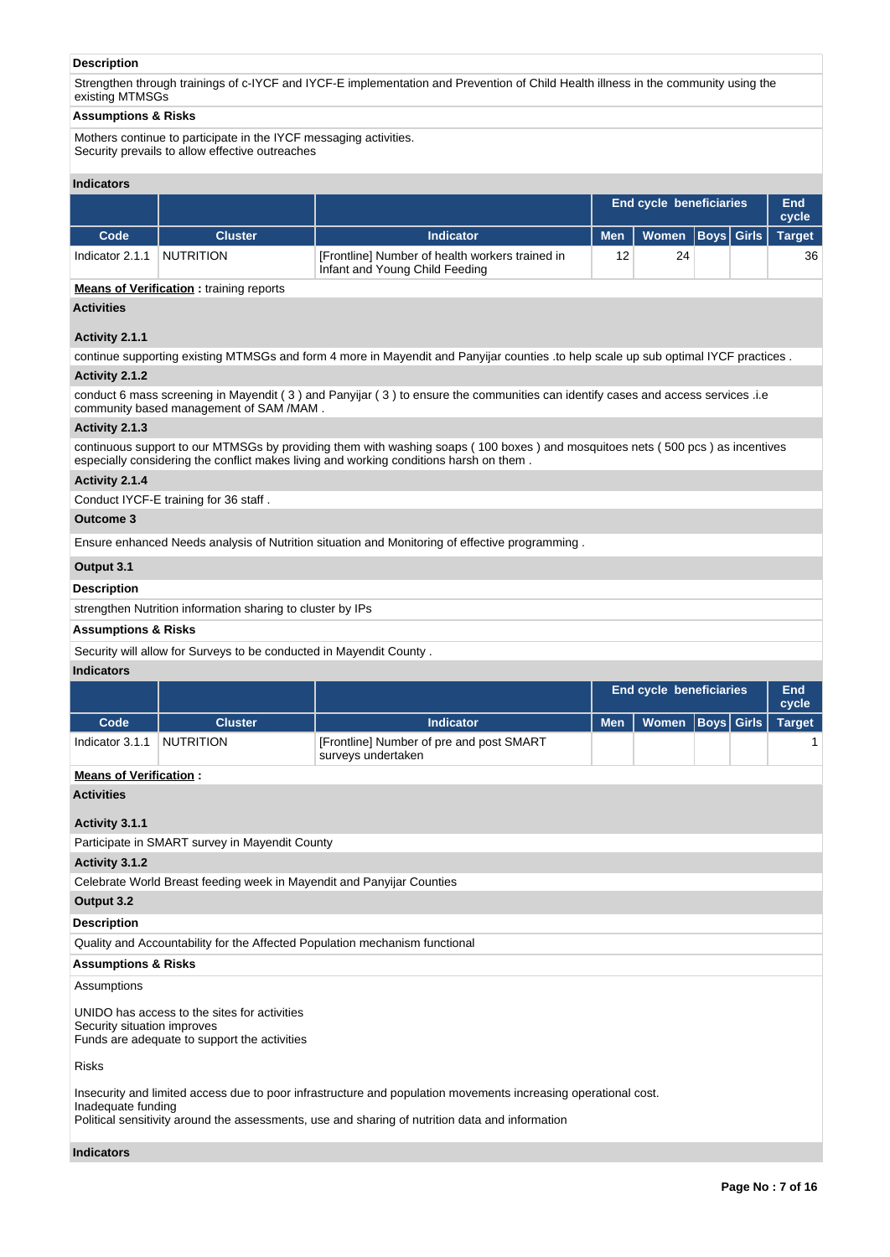## **Description**

Strengthen through trainings of c-IYCF and IYCF-E implementation and Prevention of Child Health illness in the community using the existing MTMSGs

#### **Assumptions & Risks**

Mothers continue to participate in the IYCF messaging activities. Security prevails to allow effective outreaches

#### **Indicators**

|                 |                |                                                                                   | <b>End cycle beneficiaries</b> |                      |  | End<br>cycle |               |
|-----------------|----------------|-----------------------------------------------------------------------------------|--------------------------------|----------------------|--|--------------|---------------|
| Code            | <b>Cluster</b> | <b>Indicator</b>                                                                  | <b>Men</b>                     | Women   Boys   Girls |  |              | <b>Target</b> |
| Indicator 2.1.1 | NUTRITION      | [Frontline] Number of health workers trained in<br>Infant and Young Child Feeding | 12                             | 24                   |  |              | 36            |

#### **Means of Verification**: training reports

## **Activities**

## **Activity 2.1.1**

continue supporting existing MTMSGs and form 4 more in Mayendit and Panyijar counties .to help scale up sub optimal IYCF practices .

#### **Activity 2.1.2**

conduct 6 mass screening in Mayendit ( 3 ) and Panyijar ( 3 ) to ensure the communities can identify cases and access services .i.e community based management of SAM /MAM .

#### **Activity 2.1.3**

continuous support to our MTMSGs by providing them with washing soaps ( 100 boxes ) and mosquitoes nets ( 500 pcs ) as incentives especially considering the conflict makes living and working conditions harsh on them .

## **Activity 2.1.4**

Conduct IYCF-E training for 36 staff .

#### **Outcome 3**

Ensure enhanced Needs analysis of Nutrition situation and Monitoring of effective programming .

## **Output 3.1**

#### **Description**

strengthen Nutrition information sharing to cluster by IPs

## **Assumptions & Risks**

Security will allow for Surveys to be conducted in Mayendit County .

## **Indicators**

|                 |                |                                                                | <b>End cycle beneficiaries</b> |                                     |  | End<br>cycle |  |
|-----------------|----------------|----------------------------------------------------------------|--------------------------------|-------------------------------------|--|--------------|--|
| Code            | <b>Cluster</b> | <b>Indicator</b>                                               |                                | Men   Women   Boys   Girls   Target |  |              |  |
| Indicator 3.1.1 | NUTRITION      | [Frontline] Number of pre and post SMART<br>surveys undertaken |                                |                                     |  |              |  |

## **Means of Verification :**

**Activities**

#### **Activity 3.1.1**

Participate in SMART survey in Mayendit County

#### **Activity 3.1.2**

Celebrate World Breast feeding week in Mayendit and Panyijar Counties

#### **Output 3.2**

## **Description**

Quality and Accountability for the Affected Population mechanism functional

#### **Assumptions & Risks**

Assumptions

UNIDO has access to the sites for activities Security situation improves Funds are adequate to support the activities

Risks

Insecurity and limited access due to poor infrastructure and population movements increasing operational cost.

Inadequate funding

Political sensitivity around the assessments, use and sharing of nutrition data and information

## **Indicators**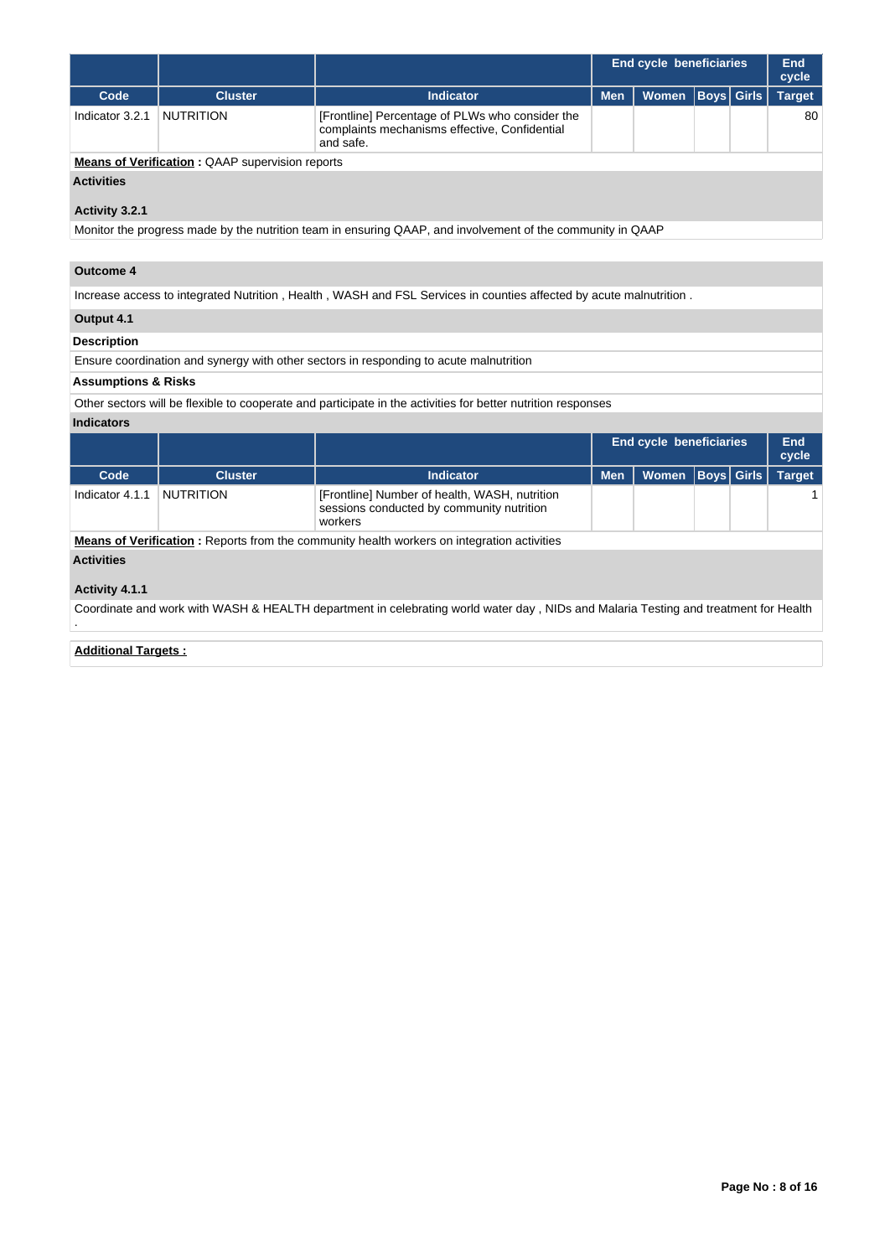|                                                        |                  |                                                                                                               | End cycle beneficiaries |                      |  | End<br>cycle |               |
|--------------------------------------------------------|------------------|---------------------------------------------------------------------------------------------------------------|-------------------------|----------------------|--|--------------|---------------|
| Code                                                   | <b>Cluster</b>   | <b>Indicator</b>                                                                                              | <b>Men</b>              | Women   Boys   Girls |  |              | <b>Target</b> |
| Indicator 3.2.1                                        | <b>NUTRITION</b> | [Frontline] Percentage of PLWs who consider the<br>complaints mechanisms effective, Confidential<br>and safe. |                         |                      |  |              | 80            |
| <b>Means of Verification: QAAP supervision reports</b> |                  |                                                                                                               |                         |                      |  |              |               |

## **Activities**

## **Activity 3.2.1**

Monitor the progress made by the nutrition team in ensuring QAAP, and involvement of the community in QAAP

## **Outcome 4**

Increase access to integrated Nutrition , Health , WASH and FSL Services in counties affected by acute malnutrition .

# **Output 4.1**

## **Description**

Ensure coordination and synergy with other sectors in responding to acute malnutrition

## **Assumptions & Risks**

Other sectors will be flexible to cooperate and participate in the activities for better nutrition responses

## **Indicators**

|                   |                  |                                                                                                       |            | <b>End cycle beneficiaries</b> |  |             | End<br>cycle  |
|-------------------|------------------|-------------------------------------------------------------------------------------------------------|------------|--------------------------------|--|-------------|---------------|
| Code              | <b>Cluster</b>   | <b>Indicator</b>                                                                                      | <b>Men</b> | <b>Women</b>                   |  | Boys  Girls | <b>Target</b> |
| Indicator 4.1.1   | <b>NUTRITION</b> | [Frontline] Number of health, WASH, nutrition<br>sessions conducted by community nutrition<br>workers |            |                                |  |             |               |
|                   |                  | <b>Means of Verification:</b> Reports from the community health workers on integration activities     |            |                                |  |             |               |
| <b>Activities</b> |                  |                                                                                                       |            |                                |  |             |               |
| Activity 4.1.1    |                  |                                                                                                       |            |                                |  |             |               |

Coordinate and work with WASH & HEALTH department in celebrating world water day , NIDs and Malaria Testing and treatment for Health

# .

## **Additional Targets :**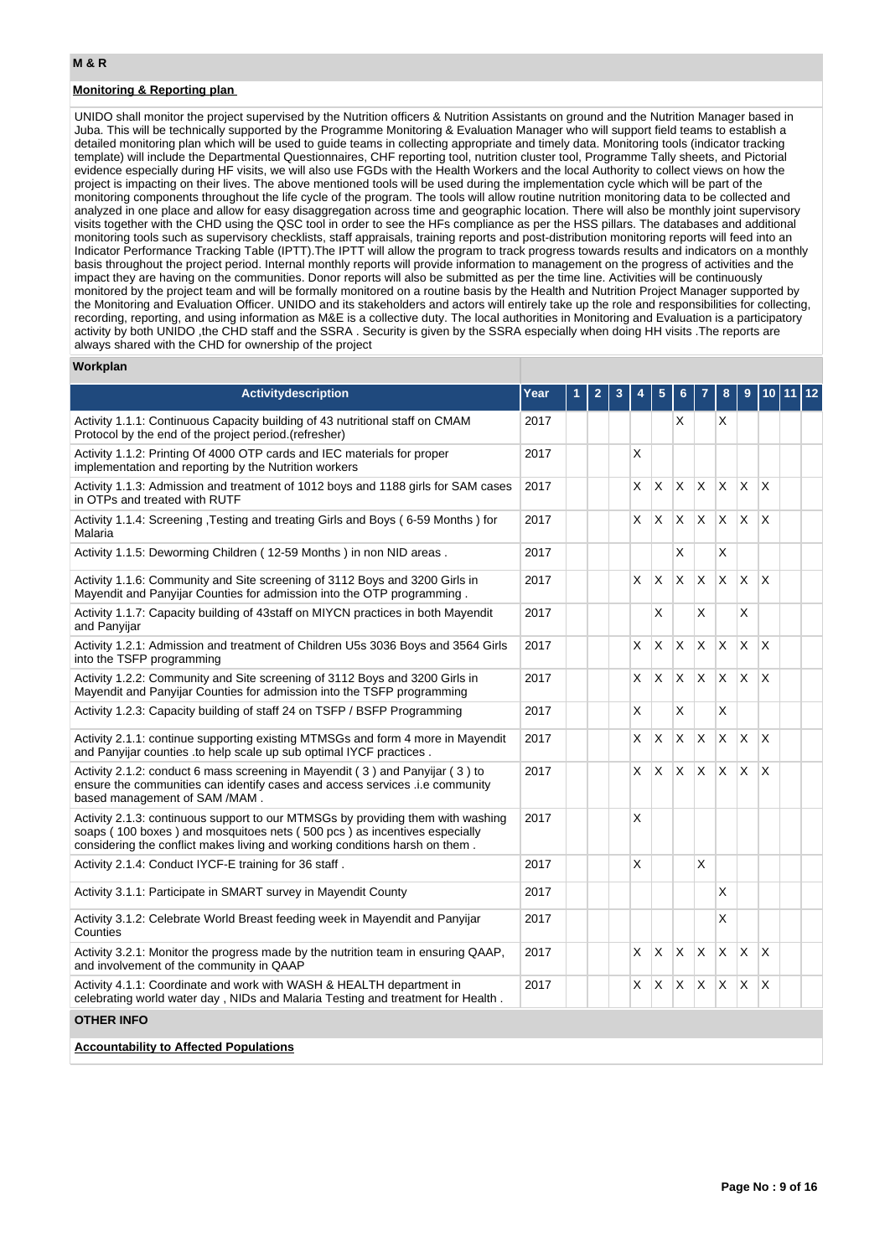## **Monitoring & Reporting plan**

UNIDO shall monitor the project supervised by the Nutrition officers & Nutrition Assistants on ground and the Nutrition Manager based in Juba. This will be technically supported by the Programme Monitoring & Evaluation Manager who will support field teams to establish a detailed monitoring plan which will be used to guide teams in collecting appropriate and timely data. Monitoring tools (indicator tracking template) will include the Departmental Questionnaires, CHF reporting tool, nutrition cluster tool, Programme Tally sheets, and Pictorial evidence especially during HF visits, we will also use FGDs with the Health Workers and the local Authority to collect views on how the project is impacting on their lives. The above mentioned tools will be used during the implementation cycle which will be part of the monitoring components throughout the life cycle of the program. The tools will allow routine nutrition monitoring data to be collected and analyzed in one place and allow for easy disaggregation across time and geographic location. There will also be monthly joint supervisory visits together with the CHD using the QSC tool in order to see the HFs compliance as per the HSS pillars. The databases and additional monitoring tools such as supervisory checklists, staff appraisals, training reports and post-distribution monitoring reports will feed into an Indicator Performance Tracking Table (IPTT).The IPTT will allow the program to track progress towards results and indicators on a monthly basis throughout the project period. Internal monthly reports will provide information to management on the progress of activities and the impact they are having on the communities. Donor reports will also be submitted as per the time line. Activities will be continuously monitored by the project team and will be formally monitored on a routine basis by the Health and Nutrition Project Manager supported by the Monitoring and Evaluation Officer. UNIDO and its stakeholders and actors will entirely take up the role and responsibilities for collecting, recording, reporting, and using information as M&E is a collective duty. The local authorities in Monitoring and Evaluation is a participatory activity by both UNIDO ,the CHD staff and the SSRA . Security is given by the SSRA especially when doing HH visits .The reports are always shared with the CHD for ownership of the project

#### **Workplan**

| <b>Activitydescription</b>                                                                                                                                                                                                                 | Year |  |    |   |   |              | 8        | 9        |              |  |
|--------------------------------------------------------------------------------------------------------------------------------------------------------------------------------------------------------------------------------------------|------|--|----|---|---|--------------|----------|----------|--------------|--|
| Activity 1.1.1: Continuous Capacity building of 43 nutritional staff on CMAM<br>Protocol by the end of the project period. (refresher)                                                                                                     | 2017 |  |    |   | X |              | X        |          |              |  |
| Activity 1.1.2: Printing Of 4000 OTP cards and IEC materials for proper<br>implementation and reporting by the Nutrition workers                                                                                                           | 2017 |  | X  |   |   |              |          |          |              |  |
| Activity 1.1.3: Admission and treatment of 1012 boys and 1188 girls for SAM cases<br>in OTPs and treated with RUTF                                                                                                                         | 2017 |  | X. | X | X | X            | X        | X        | $\mathsf{x}$ |  |
| Activity 1.1.4: Screening , Testing and treating Girls and Boys (6-59 Months) for<br>Malaria                                                                                                                                               | 2017 |  | X  | X | X | $\mathsf{X}$ | X.       | X        | X            |  |
| Activity 1.1.5: Deworming Children (12-59 Months) in non NID areas.                                                                                                                                                                        | 2017 |  |    |   | X |              | X        |          |              |  |
| Activity 1.1.6: Community and Site screening of 3112 Boys and 3200 Girls in<br>Mayendit and Panyijar Counties for admission into the OTP programming.                                                                                      | 2017 |  | X. | X | X | X            | $\times$ | $\times$ | X            |  |
| Activity 1.1.7: Capacity building of 43staff on MIYCN practices in both Mayendit<br>and Panyijar                                                                                                                                           | 2017 |  |    | X |   | X            |          | X        |              |  |
| Activity 1.2.1: Admission and treatment of Children U5s 3036 Boys and 3564 Girls<br>into the TSFP programming                                                                                                                              | 2017 |  | X  | X | X | X            | X        | X        | X            |  |
| Activity 1.2.2: Community and Site screening of 3112 Boys and 3200 Girls in<br>Mayendit and Panyijar Counties for admission into the TSFP programming                                                                                      | 2017 |  | X. | X | X | X            | X        | X        | X            |  |
| Activity 1.2.3: Capacity building of staff 24 on TSFP / BSFP Programming                                                                                                                                                                   | 2017 |  | X  |   | X |              | X        |          |              |  |
| Activity 2.1.1: continue supporting existing MTMSGs and form 4 more in Mayendit<br>and Panyijar counties .to help scale up sub optimal IYCF practices.                                                                                     | 2017 |  | X  | X | X | $\times$     | X        | X        | X            |  |
| Activity 2.1.2: conduct 6 mass screening in Mayendit (3) and Panyijar (3) to<br>ensure the communities can identify cases and access services .i.e community<br>based management of SAM /MAM.                                              | 2017 |  | X  | X | X | X            | X.       | X        | X            |  |
| Activity 2.1.3: continuous support to our MTMSGs by providing them with washing<br>soaps (100 boxes) and mosquitoes nets (500 pcs) as incentives especially<br>considering the conflict makes living and working conditions harsh on them. | 2017 |  | X  |   |   |              |          |          |              |  |
| Activity 2.1.4: Conduct IYCF-E training for 36 staff.                                                                                                                                                                                      | 2017 |  | X  |   |   | X            |          |          |              |  |
| Activity 3.1.1: Participate in SMART survey in Mayendit County                                                                                                                                                                             | 2017 |  |    |   |   |              | X        |          |              |  |
| Activity 3.1.2: Celebrate World Breast feeding week in Mayendit and Panyijar<br>Counties                                                                                                                                                   | 2017 |  |    |   |   |              | X        |          |              |  |
| Activity 3.2.1: Monitor the progress made by the nutrition team in ensuring QAAP,<br>and involvement of the community in QAAP                                                                                                              | 2017 |  | X. | X | X | $\times$     | X.       | X        | X            |  |
| Activity 4.1.1: Coordinate and work with WASH & HEALTH department in<br>celebrating world water day, NIDs and Malaria Testing and treatment for Health.                                                                                    | 2017 |  | X  | X | X | X            | X        | X        | X            |  |
| <b>OTHER INFO</b>                                                                                                                                                                                                                          |      |  |    |   |   |              |          |          |              |  |
| <b>Accountability to Affected Populations</b>                                                                                                                                                                                              |      |  |    |   |   |              |          |          |              |  |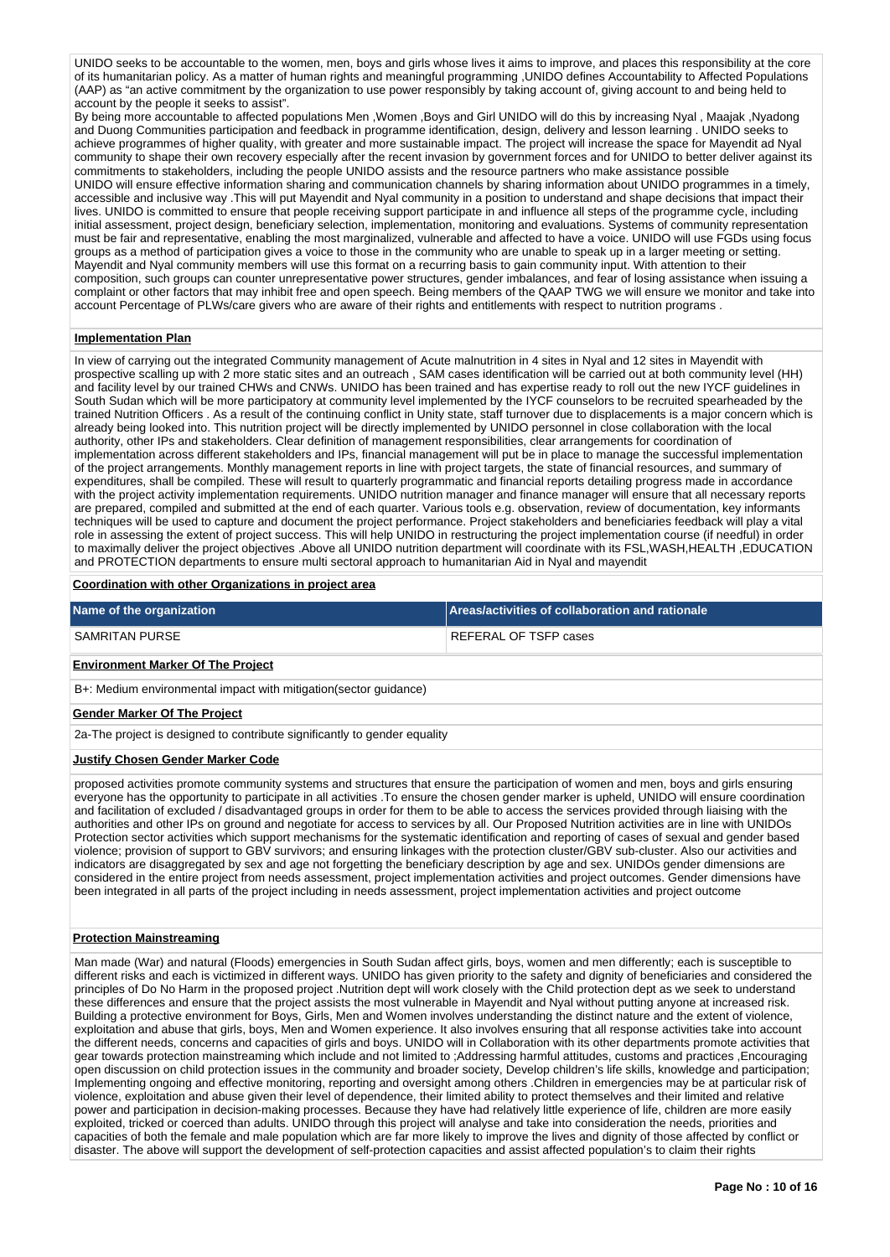UNIDO seeks to be accountable to the women, men, boys and girls whose lives it aims to improve, and places this responsibility at the core of its humanitarian policy. As a matter of human rights and meaningful programming ,UNIDO defines Accountability to Affected Populations (AAP) as "an active commitment by the organization to use power responsibly by taking account of, giving account to and being held to account by the people it seeks to assist".

By being more accountable to affected populations Men ,Women ,Boys and Girl UNIDO will do this by increasing Nyal , Maajak ,Nyadong and Duong Communities participation and feedback in programme identification, design, delivery and lesson learning . UNIDO seeks to achieve programmes of higher quality, with greater and more sustainable impact. The project will increase the space for Mayendit ad Nyal community to shape their own recovery especially after the recent invasion by government forces and for UNIDO to better deliver against its commitments to stakeholders, including the people UNIDO assists and the resource partners who make assistance possible UNIDO will ensure effective information sharing and communication channels by sharing information about UNIDO programmes in a timely, accessible and inclusive way .This will put Mayendit and Nyal community in a position to understand and shape decisions that impact their lives. UNIDO is committed to ensure that people receiving support participate in and influence all steps of the programme cycle, including initial assessment, project design, beneficiary selection, implementation, monitoring and evaluations. Systems of community representation must be fair and representative, enabling the most marginalized, vulnerable and affected to have a voice. UNIDO will use FGDs using focus groups as a method of participation gives a voice to those in the community who are unable to speak up in a larger meeting or setting. Mayendit and Nyal community members will use this format on a recurring basis to gain community input. With attention to their composition, such groups can counter unrepresentative power structures, gender imbalances, and fear of losing assistance when issuing a complaint or other factors that may inhibit free and open speech. Being members of the QAAP TWG we will ensure we monitor and take into account Percentage of PLWs/care givers who are aware of their rights and entitlements with respect to nutrition programs .

#### **Implementation Plan**

In view of carrying out the integrated Community management of Acute malnutrition in 4 sites in Nyal and 12 sites in Mayendit with prospective scalling up with 2 more static sites and an outreach , SAM cases identification will be carried out at both community level (HH) and facility level by our trained CHWs and CNWs. UNIDO has been trained and has expertise ready to roll out the new IYCF guidelines in South Sudan which will be more participatory at community level implemented by the IYCF counselors to be recruited spearheaded by the trained Nutrition Officers . As a result of the continuing conflict in Unity state, staff turnover due to displacements is a major concern which is already being looked into. This nutrition project will be directly implemented by UNIDO personnel in close collaboration with the local authority, other IPs and stakeholders. Clear definition of management responsibilities, clear arrangements for coordination of implementation across different stakeholders and IPs, financial management will put be in place to manage the successful implementation of the project arrangements. Monthly management reports in line with project targets, the state of financial resources, and summary of expenditures, shall be compiled. These will result to quarterly programmatic and financial reports detailing progress made in accordance with the project activity implementation requirements. UNIDO nutrition manager and finance manager will ensure that all necessary reports are prepared, compiled and submitted at the end of each quarter. Various tools e.g. observation, review of documentation, key informants techniques will be used to capture and document the project performance. Project stakeholders and beneficiaries feedback will play a vital role in assessing the extent of project success. This will help UNIDO in restructuring the project implementation course (if needful) in order to maximally deliver the project objectives .Above all UNIDO nutrition department will coordinate with its FSL,WASH,HEALTH ,EDUCATION and PROTECTION departments to ensure multi sectoral approach to humanitarian Aid in Nyal and mayendit

#### **Coordination with other Organizations in project area**

| Name of the organization        | Areas/activities of collaboration and rationale |
|---------------------------------|-------------------------------------------------|
| SAMRITAN PURSE                  | REFERAL OF TSFP cases                           |
| _ _ _ _ _ _ _ _ _ _ _ _ _ _ _ _ |                                                 |

#### **Environment Marker Of The Project**

B+: Medium environmental impact with mitigation(sector guidance)

#### **Gender Marker Of The Project**

2a-The project is designed to contribute significantly to gender equality

#### **Justify Chosen Gender Marker Code**

proposed activities promote community systems and structures that ensure the participation of women and men, boys and girls ensuring everyone has the opportunity to participate in all activities .To ensure the chosen gender marker is upheld, UNIDO will ensure coordination and facilitation of excluded / disadvantaged groups in order for them to be able to access the services provided through liaising with the authorities and other IPs on ground and negotiate for access to services by all. Our Proposed Nutrition activities are in line with UNIDOs Protection sector activities which support mechanisms for the systematic identification and reporting of cases of sexual and gender based violence; provision of support to GBV survivors; and ensuring linkages with the protection cluster/GBV sub-cluster. Also our activities and indicators are disaggregated by sex and age not forgetting the beneficiary description by age and sex. UNIDOs gender dimensions are considered in the entire project from needs assessment, project implementation activities and project outcomes. Gender dimensions have been integrated in all parts of the project including in needs assessment, project implementation activities and project outcome

#### **Protection Mainstreaming**

Man made (War) and natural (Floods) emergencies in South Sudan affect girls, boys, women and men differently; each is susceptible to different risks and each is victimized in different ways. UNIDO has given priority to the safety and dignity of beneficiaries and considered the principles of Do No Harm in the proposed project .Nutrition dept will work closely with the Child protection dept as we seek to understand these differences and ensure that the project assists the most vulnerable in Mayendit and Nyal without putting anyone at increased risk. Building a protective environment for Boys, Girls, Men and Women involves understanding the distinct nature and the extent of violence, exploitation and abuse that girls, boys, Men and Women experience. It also involves ensuring that all response activities take into account the different needs, concerns and capacities of girls and boys. UNIDO will in Collaboration with its other departments promote activities that gear towards protection mainstreaming which include and not limited to ;Addressing harmful attitudes, customs and practices ,Encouraging open discussion on child protection issues in the community and broader society, Develop children's life skills, knowledge and participation; Implementing ongoing and effective monitoring, reporting and oversight among others .Children in emergencies may be at particular risk of violence, exploitation and abuse given their level of dependence, their limited ability to protect themselves and their limited and relative power and participation in decision-making processes. Because they have had relatively little experience of life, children are more easily exploited, tricked or coerced than adults. UNIDO through this project will analyse and take into consideration the needs, priorities and capacities of both the female and male population which are far more likely to improve the lives and dignity of those affected by conflict or disaster. The above will support the development of self-protection capacities and assist affected population's to claim their rights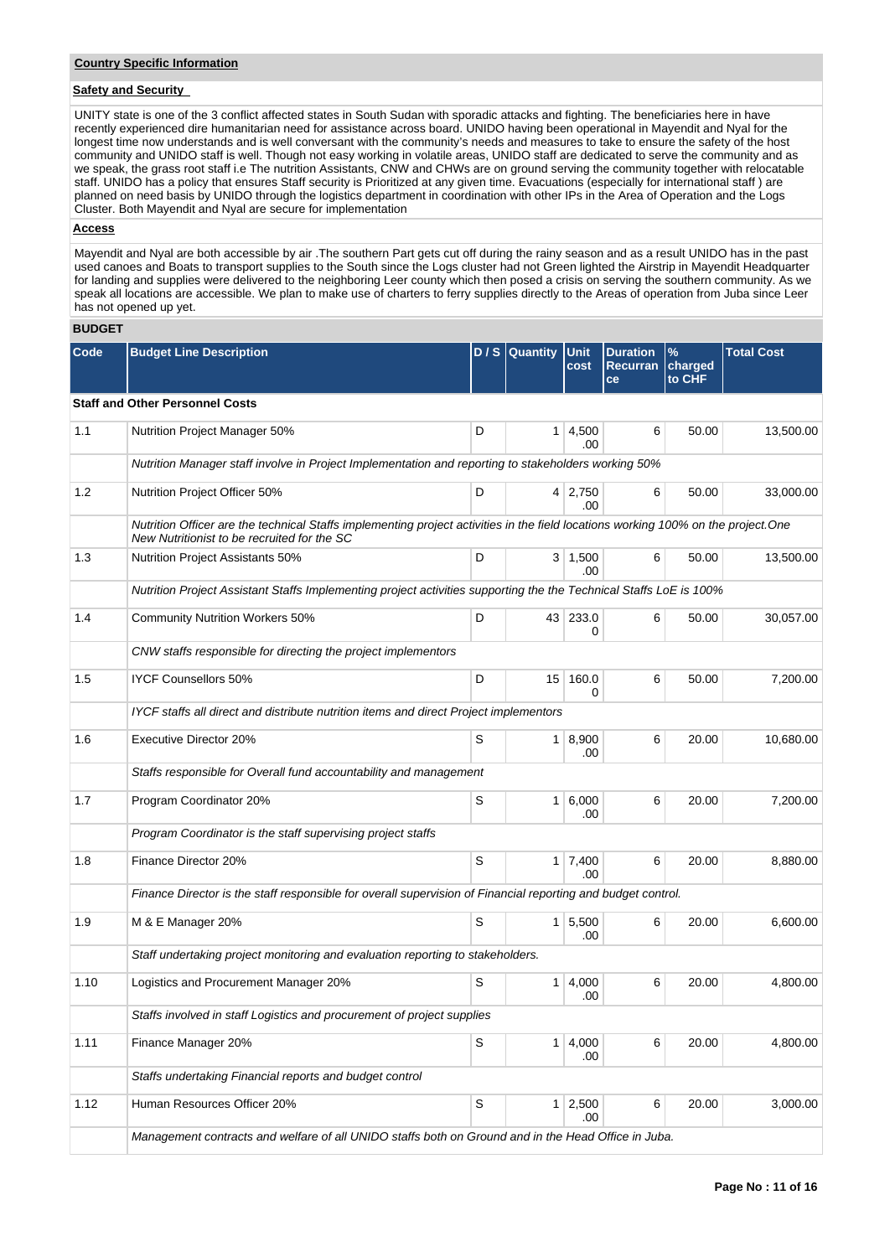## **Safety and Security**

UNITY state is one of the 3 conflict affected states in South Sudan with sporadic attacks and fighting. The beneficiaries here in have recently experienced dire humanitarian need for assistance across board. UNIDO having been operational in Mayendit and Nyal for the longest time now understands and is well conversant with the community's needs and measures to take to ensure the safety of the host community and UNIDO staff is well. Though not easy working in volatile areas, UNIDO staff are dedicated to serve the community and as we speak, the grass root staff i.e The nutrition Assistants, CNW and CHWs are on ground serving the community together with relocatable staff. UNIDO has a policy that ensures Staff security is Prioritized at any given time. Evacuations (especially for international staff ) are planned on need basis by UNIDO through the logistics department in coordination with other IPs in the Area of Operation and the Logs Cluster. Both Mayendit and Nyal are secure for implementation

## **Access**

Mayendit and Nyal are both accessible by air .The southern Part gets cut off during the rainy season and as a result UNIDO has in the past used canoes and Boats to transport supplies to the South since the Logs cluster had not Green lighted the Airstrip in Mayendit Headquarter for landing and supplies were delivered to the neighboring Leer county which then posed a crisis on serving the southern community. As we speak all locations are accessible. We plan to make use of charters to ferry supplies directly to the Areas of operation from Juba since Leer has not opened up yet.

## **BUDGET**

| <b>Code</b> | <b>Budget Line Description</b>                                                                                                                                                    |             | D / S Quantity | Unit<br>cost          | <b>Duration</b><br><b>Recurran</b><br>ce | $\%$<br>charged<br>to CHF | <b>Total Cost</b> |
|-------------|-----------------------------------------------------------------------------------------------------------------------------------------------------------------------------------|-------------|----------------|-----------------------|------------------------------------------|---------------------------|-------------------|
|             | <b>Staff and Other Personnel Costs</b>                                                                                                                                            |             |                |                       |                                          |                           |                   |
| 1.1         | Nutrition Project Manager 50%                                                                                                                                                     | D           | 1              | 4,500<br>.00          | 6                                        | 50.00                     | 13,500.00         |
|             | Nutrition Manager staff involve in Project Implementation and reporting to stakeholders working 50%                                                                               |             |                |                       |                                          |                           |                   |
| 1.2         | Nutrition Project Officer 50%                                                                                                                                                     | D           |                | $4 \mid 2,750$<br>.00 | 6                                        | 50.00                     | 33,000.00         |
|             | Nutrition Officer are the technical Staffs implementing project activities in the field locations working 100% on the project. One<br>New Nutritionist to be recruited for the SC |             |                |                       |                                          |                           |                   |
| 1.3         | <b>Nutrition Project Assistants 50%</b>                                                                                                                                           | D           |                | $3 \mid 1,500$<br>.00 | 6                                        | 50.00                     | 13,500.00         |
|             | Nutrition Project Assistant Staffs Implementing project activities supporting the the Technical Staffs LoE is 100%                                                                |             |                |                       |                                          |                           |                   |
| 1.4         | <b>Community Nutrition Workers 50%</b>                                                                                                                                            | D           |                | 43 233.0<br>0         | 6                                        | 50.00                     | 30,057.00         |
|             | CNW staffs responsible for directing the project implementors                                                                                                                     |             |                |                       |                                          |                           |                   |
| 1.5         | <b>IYCF Counsellors 50%</b>                                                                                                                                                       | D           | 15             | 160.0<br>$\Omega$     | 6                                        | 50.00                     | 7,200.00          |
|             | IYCF staffs all direct and distribute nutrition items and direct Project implementors                                                                                             |             |                |                       |                                          |                           |                   |
| 1.6         | <b>Executive Director 20%</b>                                                                                                                                                     | S           | 1 <sup>1</sup> | 8,900<br>.00          | 6                                        | 20.00                     | 10,680.00         |
|             | Staffs responsible for Overall fund accountability and management                                                                                                                 |             |                |                       |                                          |                           |                   |
| 1.7         | Program Coordinator 20%                                                                                                                                                           | S           | 1 <sup>1</sup> | 6,000<br>.00          | 6                                        | 20.00                     | 7,200.00          |
|             | Program Coordinator is the staff supervising project staffs                                                                                                                       |             |                |                       |                                          |                           |                   |
| 1.8         | Finance Director 20%                                                                                                                                                              | S           |                | $1 \mid 7,400$<br>.00 | 6                                        | 20.00                     | 8,880.00          |
|             | Finance Director is the staff responsible for overall supervision of Financial reporting and budget control.                                                                      |             |                |                       |                                          |                           |                   |
| 1.9         | M & E Manager 20%                                                                                                                                                                 | S           |                | 1 5,500<br>.00        | 6                                        | 20.00                     | 6,600.00          |
|             | Staff undertaking project monitoring and evaluation reporting to stakeholders.                                                                                                    |             |                |                       |                                          |                           |                   |
| 1.10        | Logistics and Procurement Manager 20%                                                                                                                                             | S           | 1 <sup>1</sup> | 4,000<br>.00          | 6                                        | 20.00                     | 4,800.00          |
|             | Staffs involved in staff Logistics and procurement of project supplies                                                                                                            |             |                |                       |                                          |                           |                   |
| 1.11        | Finance Manager 20%                                                                                                                                                               | S           |                | $1 \mid 4,000$<br>.00 | 6                                        | 20.00                     | 4,800.00          |
|             | Staffs undertaking Financial reports and budget control                                                                                                                           |             |                |                       |                                          |                           |                   |
| 1.12        | Human Resources Officer 20%                                                                                                                                                       | $\mathbb S$ |                | 1 2,500<br>.00.       | 6                                        | 20.00                     | 3,000.00          |
|             | Management contracts and welfare of all UNIDO staffs both on Ground and in the Head Office in Juba.                                                                               |             |                |                       |                                          |                           |                   |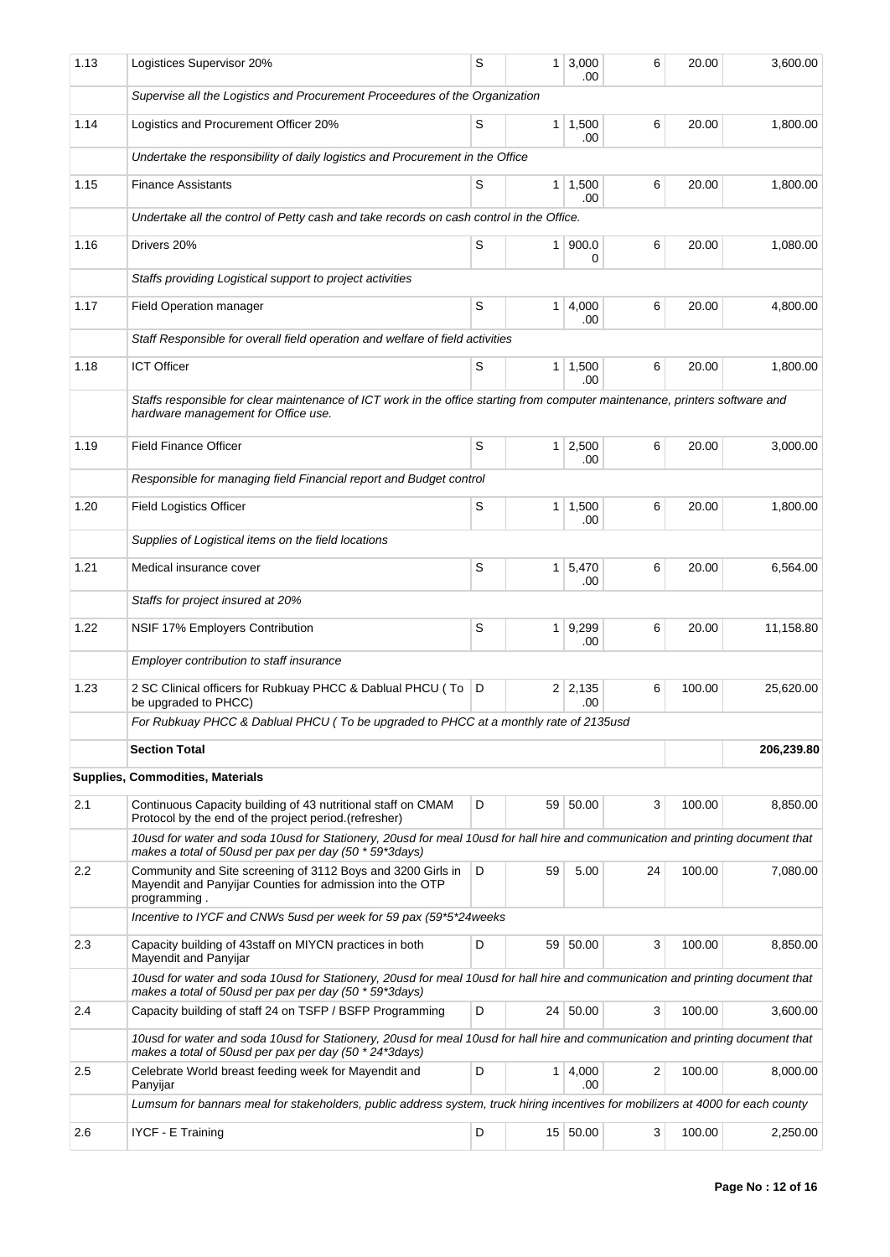| 1.13 | Logistices Supervisor 20%                                                                                                                                                                  | S | 1 <sup>1</sup> | 3,000<br>.00                | 6  | 20.00  | 3,600.00   |
|------|--------------------------------------------------------------------------------------------------------------------------------------------------------------------------------------------|---|----------------|-----------------------------|----|--------|------------|
|      | Supervise all the Logistics and Procurement Proceedures of the Organization                                                                                                                |   |                |                             |    |        |            |
| 1.14 | Logistics and Procurement Officer 20%                                                                                                                                                      | S |                | $1 \mid 1,500$<br>.00       | 6  | 20.00  | 1,800.00   |
|      | Undertake the responsibility of daily logistics and Procurement in the Office                                                                                                              |   |                |                             |    |        |            |
| 1.15 | <b>Finance Assistants</b>                                                                                                                                                                  | S |                | $1 \mid 1,500$<br>.00       | 6  | 20.00  | 1,800.00   |
|      | Undertake all the control of Petty cash and take records on cash control in the Office.                                                                                                    |   |                |                             |    |        |            |
| 1.16 | Drivers 20%                                                                                                                                                                                | S |                | 1   900.0<br>0              | 6  | 20.00  | 1,080.00   |
|      | Staffs providing Logistical support to project activities                                                                                                                                  |   |                |                             |    |        |            |
| 1.17 | <b>Field Operation manager</b>                                                                                                                                                             | S |                | $1 \mid 4,000$<br>.00       | 6  | 20.00  | 4,800.00   |
|      | Staff Responsible for overall field operation and welfare of field activities                                                                                                              |   |                |                             |    |        |            |
| 1.18 | <b>ICT Officer</b>                                                                                                                                                                         | S | 1 <sup>1</sup> | 1,500<br>.00                | 6  | 20.00  | 1,800.00   |
|      | Staffs responsible for clear maintenance of ICT work in the office starting from computer maintenance, printers software and<br>hardware management for Office use.                        |   |                |                             |    |        |            |
| 1.19 | <b>Field Finance Officer</b>                                                                                                                                                               | S |                | $1 \mid 2,500$<br>.00       | 6  | 20.00  | 3,000.00   |
|      | Responsible for managing field Financial report and Budget control                                                                                                                         |   |                |                             |    |        |            |
| 1.20 | <b>Field Logistics Officer</b>                                                                                                                                                             | S |                | $1 \mid 1,500$<br>.00       | 6  | 20.00  | 1,800.00   |
|      | Supplies of Logistical items on the field locations                                                                                                                                        |   |                |                             |    |        |            |
| 1.21 | Medical insurance cover                                                                                                                                                                    | S |                | $1 \overline{5,470}$<br>.00 | 6  | 20.00  | 6,564.00   |
|      | Staffs for project insured at 20%                                                                                                                                                          |   |                |                             |    |        |            |
| 1.22 | NSIF 17% Employers Contribution                                                                                                                                                            | S |                | 1 9.299<br>.00              | 6  | 20.00  | 11,158.80  |
|      | Employer contribution to staff insurance                                                                                                                                                   |   |                |                             |    |        |            |
| 1.23 | 2 SC Clinical officers for Rubkuay PHCC & Dablual PHCU (To<br>be upgraded to PHCC)                                                                                                         | D |                | 2 2,135<br>.00              | 6  | 100.00 | 25,620.00  |
|      | For Rubkuay PHCC & Dablual PHCU (To be upgraded to PHCC at a monthly rate of 2135usd                                                                                                       |   |                |                             |    |        |            |
|      | <b>Section Total</b>                                                                                                                                                                       |   |                |                             |    |        | 206,239.80 |
|      | <b>Supplies, Commodities, Materials</b>                                                                                                                                                    |   |                |                             |    |        |            |
| 2.1  | Continuous Capacity building of 43 nutritional staff on CMAM<br>Protocol by the end of the project period.(refresher)                                                                      | D |                | 59 50.00                    | 3  | 100.00 | 8,850.00   |
|      | 10usd for water and soda 10usd for Stationery, 20usd for meal 10usd for hall hire and communication and printing document that<br>makes a total of 50usd per pax per day (50 * 59*3days)   |   |                |                             |    |        |            |
| 2.2  | Community and Site screening of 3112 Boys and 3200 Girls in<br>Mayendit and Panyijar Counties for admission into the OTP<br>programming.                                                   | D | 59             | 5.00                        | 24 | 100.00 | 7,080.00   |
|      | Incentive to IYCF and CNWs 5usd per week for 59 pax (59*5*24weeks                                                                                                                          |   |                |                             |    |        |            |
| 2.3  | Capacity building of 43staff on MIYCN practices in both<br>Mayendit and Panyijar                                                                                                           | D |                | 59 50.00                    | 3  | 100.00 | 8,850.00   |
|      | 10usd for water and soda 10usd for Stationery, 20usd for meal 10usd for hall hire and communication and printing document that<br>makes a total of 50usd per pax per day (50 * 59*3days)   |   |                |                             |    |        |            |
| 2.4  | Capacity building of staff 24 on TSFP / BSFP Programming                                                                                                                                   | D |                | 24 50.00                    | 3  | 100.00 | 3,600.00   |
|      | 10usd for water and soda 10usd for Stationery, 20usd for meal 10usd for hall hire and communication and printing document that<br>makes a total of 50 usd per pax per day (50 * 24*3 days) |   |                |                             |    |        |            |
| 2.5  | Celebrate World breast feeding week for Mayendit and<br>Panyijar                                                                                                                           | D |                | 1 4,000<br>.00              | 2  | 100.00 | 8,000.00   |
|      | Lumsum for bannars meal for stakeholders, public address system, truck hiring incentives for mobilizers at 4000 for each county                                                            |   |                |                             |    |        |            |
| 2.6  | <b>IYCF - E Training</b>                                                                                                                                                                   | D |                | 15 50.00                    | 3  | 100.00 | 2,250.00   |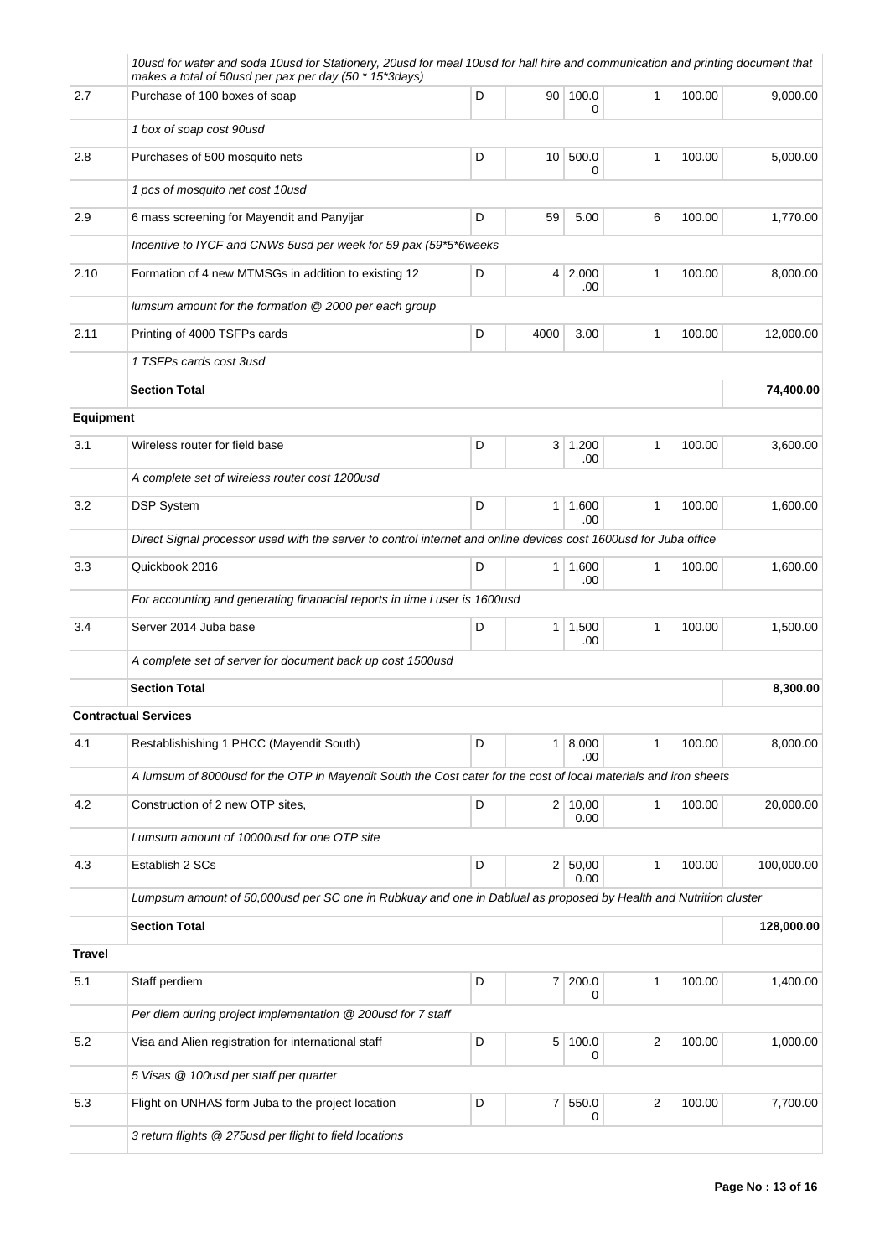|               | 10usd for water and soda 10usd for Stationery, 20usd for meal 10usd for hall hire and communication and printing document that<br>makes a total of 50 usd per pax per day (50 * 15*3 days) |   |                |                       |              |        |            |  |  |
|---------------|--------------------------------------------------------------------------------------------------------------------------------------------------------------------------------------------|---|----------------|-----------------------|--------------|--------|------------|--|--|
| 2.7           | Purchase of 100 boxes of soap                                                                                                                                                              | D | 90             | 100.0<br>0            | $\mathbf{1}$ | 100.00 | 9,000.00   |  |  |
|               | 1 box of soap cost 90usd                                                                                                                                                                   |   |                |                       |              |        |            |  |  |
| 2.8           | Purchases of 500 mosquito nets                                                                                                                                                             | D |                | 10 500.0<br>0         | 1            | 100.00 | 5,000.00   |  |  |
|               | 1 pcs of mosquito net cost 10usd                                                                                                                                                           |   |                |                       |              |        |            |  |  |
| 2.9           | 6 mass screening for Mayendit and Panyijar                                                                                                                                                 | D | 59             | 5.00                  | 6            | 100.00 | 1,770.00   |  |  |
|               | Incentive to IYCF and CNWs 5usd per week for 59 pax (59*5*6weeks                                                                                                                           |   |                |                       |              |        |            |  |  |
| 2.10          | Formation of 4 new MTMSGs in addition to existing 12                                                                                                                                       | D |                | 4 2,000<br>.00        | 1            | 100.00 | 8,000.00   |  |  |
|               | lumsum amount for the formation @ 2000 per each group                                                                                                                                      |   |                |                       |              |        |            |  |  |
| 2.11          | Printing of 4000 TSFPs cards                                                                                                                                                               | D | 4000           | 3.00                  | 1            | 100.00 | 12,000.00  |  |  |
|               | 1 TSFPs cards cost 3usd                                                                                                                                                                    |   |                |                       |              |        |            |  |  |
|               | <b>Section Total</b>                                                                                                                                                                       |   |                |                       |              |        | 74,400.00  |  |  |
| Equipment     |                                                                                                                                                                                            |   |                |                       |              |        |            |  |  |
| 3.1           | Wireless router for field base                                                                                                                                                             | D |                | $3 \mid 1,200$<br>.00 | 1            | 100.00 | 3,600.00   |  |  |
|               | A complete set of wireless router cost 1200usd                                                                                                                                             |   |                |                       |              |        |            |  |  |
| 3.2           | <b>DSP System</b>                                                                                                                                                                          | D | 1 <sup>1</sup> | 1,600                 | 1            | 100.00 | 1,600.00   |  |  |
|               | .00<br>Direct Signal processor used with the server to control internet and online devices cost 1600usd for Juba office                                                                    |   |                |                       |              |        |            |  |  |
| 3.3           | Quickbook 2016                                                                                                                                                                             | D |                | 1   1,600             | 1            | 100.00 | 1,600.00   |  |  |
|               | For accounting and generating finanacial reports in time i user is 1600usd                                                                                                                 |   |                | .00                   |              |        |            |  |  |
| 3.4           | Server 2014 Juba base                                                                                                                                                                      | D |                | $1 \mid 1,500$<br>.00 | 1            | 100.00 | 1,500.00   |  |  |
|               | A complete set of server for document back up cost 1500usd                                                                                                                                 |   |                |                       |              |        |            |  |  |
|               | <b>Section Total</b>                                                                                                                                                                       |   |                |                       |              |        | 8,300.00   |  |  |
|               | <b>Contractual Services</b>                                                                                                                                                                |   |                |                       |              |        |            |  |  |
| 4.1           | Restablishishing 1 PHCC (Mayendit South)                                                                                                                                                   | D |                | 1   8,000<br>.00      | 1            | 100.00 | 8,000.00   |  |  |
|               | A lumsum of 8000usd for the OTP in Mayendit South the Cost cater for the cost of local materials and iron sheets                                                                           |   |                |                       |              |        |            |  |  |
| 4.2           | Construction of 2 new OTP sites,                                                                                                                                                           | D |                | 2 10,00<br>0.00       | 1            | 100.00 | 20,000.00  |  |  |
|               | Lumsum amount of 10000usd for one OTP site                                                                                                                                                 |   |                |                       |              |        |            |  |  |
| 4.3           | Establish 2 SCs                                                                                                                                                                            | D |                | 2 50,00<br>0.00       | 1            | 100.00 | 100,000.00 |  |  |
|               | Lumpsum amount of 50,000usd per SC one in Rubkuay and one in Dablual as proposed by Health and Nutrition cluster                                                                           |   |                |                       |              |        |            |  |  |
|               | <b>Section Total</b>                                                                                                                                                                       |   |                |                       |              |        | 128,000.00 |  |  |
| <b>Travel</b> |                                                                                                                                                                                            |   |                |                       |              |        |            |  |  |
| 5.1           | Staff perdiem                                                                                                                                                                              | D |                | 7 200.0<br>0          | 1            | 100.00 | 1,400.00   |  |  |
|               | Per diem during project implementation @ 200usd for 7 staff                                                                                                                                |   |                |                       |              |        |            |  |  |
| 5.2           | Visa and Alien registration for international staff                                                                                                                                        | D | 5 <sup>1</sup> | 100.0<br>0            | 2            | 100.00 | 1,000.00   |  |  |
|               | 5 Visas @ 100usd per staff per quarter                                                                                                                                                     |   |                |                       |              |        |            |  |  |
| 5.3           | Flight on UNHAS form Juba to the project location                                                                                                                                          | D |                | 7 550.0<br>0          | 2            | 100.00 | 7,700.00   |  |  |
|               | 3 return flights @ 275usd per flight to field locations                                                                                                                                    |   |                |                       |              |        |            |  |  |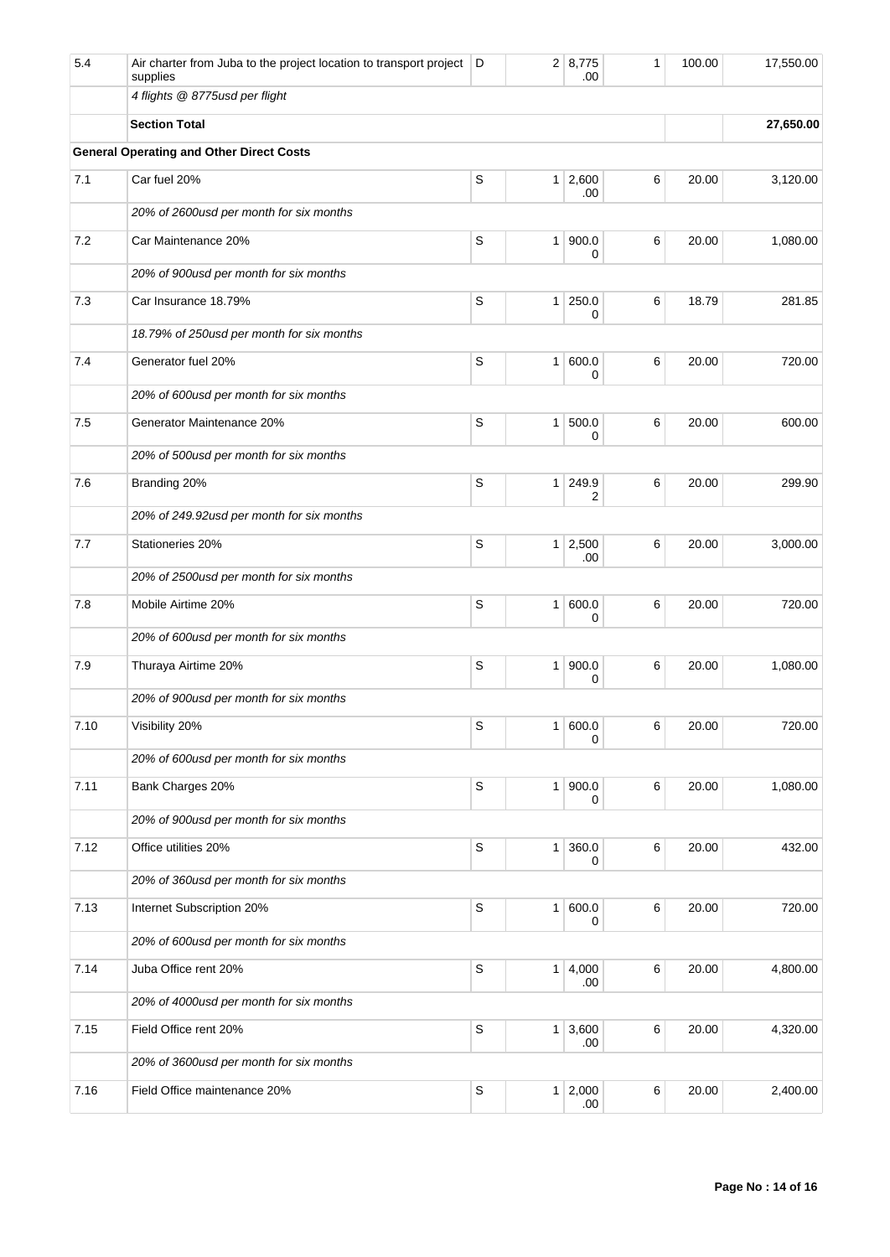| 5.4  | Air charter from Juba to the project location to transport project<br>supplies | D           |                | 2 8,775<br>.00        | 1 | 100.00 | 17,550.00 |
|------|--------------------------------------------------------------------------------|-------------|----------------|-----------------------|---|--------|-----------|
|      | 4 flights @ 8775usd per flight                                                 |             |                |                       |   |        |           |
|      | <b>Section Total</b>                                                           |             |                |                       |   |        | 27,650.00 |
|      | <b>General Operating and Other Direct Costs</b>                                |             |                |                       |   |        |           |
| 7.1  | Car fuel 20%                                                                   | S           |                | $1 \mid 2,600$<br>.00 | 6 | 20.00  | 3,120.00  |
|      | 20% of 2600usd per month for six months                                        |             |                |                       |   |        |           |
| 7.2  | Car Maintenance 20%                                                            | S           | 1 <sup>1</sup> | 900.0<br>0            | 6 | 20.00  | 1,080.00  |
|      | 20% of 900usd per month for six months                                         |             |                |                       |   |        |           |
| 7.3  | Car Insurance 18.79%                                                           | S           | 1 <sup>1</sup> | 250.0<br>0            | 6 | 18.79  | 281.85    |
|      | 18.79% of 250usd per month for six months                                      |             |                |                       |   |        |           |
| 7.4  | Generator fuel 20%                                                             | S           | 1              | 600.0<br>0            | 6 | 20.00  | 720.00    |
|      | 20% of 600usd per month for six months                                         |             |                |                       |   |        |           |
| 7.5  | Generator Maintenance 20%                                                      | S           | 1 <sup>1</sup> | 500.0<br>0            | 6 | 20.00  | 600.00    |
|      | 20% of 500usd per month for six months                                         |             |                |                       |   |        |           |
| 7.6  | Branding 20%                                                                   | S           | 1 <sup>1</sup> | 249.9<br>2            | 6 | 20.00  | 299.90    |
|      | 20% of 249.92usd per month for six months                                      |             |                |                       |   |        |           |
| 7.7  | Stationeries 20%                                                               | S           | 1 <sup>1</sup> | 2,500<br>.00          | 6 | 20.00  | 3,000.00  |
|      | 20% of 2500usd per month for six months                                        |             |                |                       |   |        |           |
| 7.8  | Mobile Airtime 20%                                                             | S           | 1              | 600.0<br>0            | 6 | 20.00  | 720.00    |
|      | 20% of 600usd per month for six months                                         |             |                |                       |   |        |           |
| 7.9  | Thuraya Airtime 20%                                                            | S           | 1 <sup>1</sup> | 900.0<br>0            | 6 | 20.00  | 1,080.00  |
|      | 20% of 900usd per month for six months                                         |             |                |                       |   |        |           |
| 7.10 | Visibility 20%                                                                 | S           |                | 600.0<br>0            | 6 | 20.00  | 720.00    |
|      | 20% of 600 usd per month for six months                                        |             |                |                       |   |        |           |
| 7.11 | Bank Charges 20%                                                               | $\mathsf S$ | 1 <sup>1</sup> | 900.0<br>0            | 6 | 20.00  | 1,080.00  |
|      | 20% of 900usd per month for six months                                         |             |                |                       |   |        |           |
| 7.12 | Office utilities 20%                                                           | S           | 1 <sup>1</sup> | 360.0<br>0            | 6 | 20.00  | 432.00    |
|      | 20% of 360usd per month for six months                                         |             |                |                       |   |        |           |
| 7.13 | Internet Subscription 20%                                                      | $\mathbb S$ | 1 <sup>1</sup> | 600.0<br>0            | 6 | 20.00  | 720.00    |
|      | 20% of 600usd per month for six months                                         |             |                |                       |   |        |           |
| 7.14 | Juba Office rent 20%                                                           | $\mathbb S$ |                | 1 4,000<br>.00        | 6 | 20.00  | 4,800.00  |
|      | 20% of 4000usd per month for six months                                        |             |                |                       |   |        |           |
| 7.15 | Field Office rent 20%                                                          | $\mathsf S$ | 1 <sup>1</sup> | 3,600<br>.00.         | 6 | 20.00  | 4,320.00  |
|      | 20% of 3600usd per month for six months                                        |             |                |                       |   |        |           |
| 7.16 | Field Office maintenance 20%                                                   | S           | 1 <sup>1</sup> | 2,000<br>.00          | 6 | 20.00  | 2,400.00  |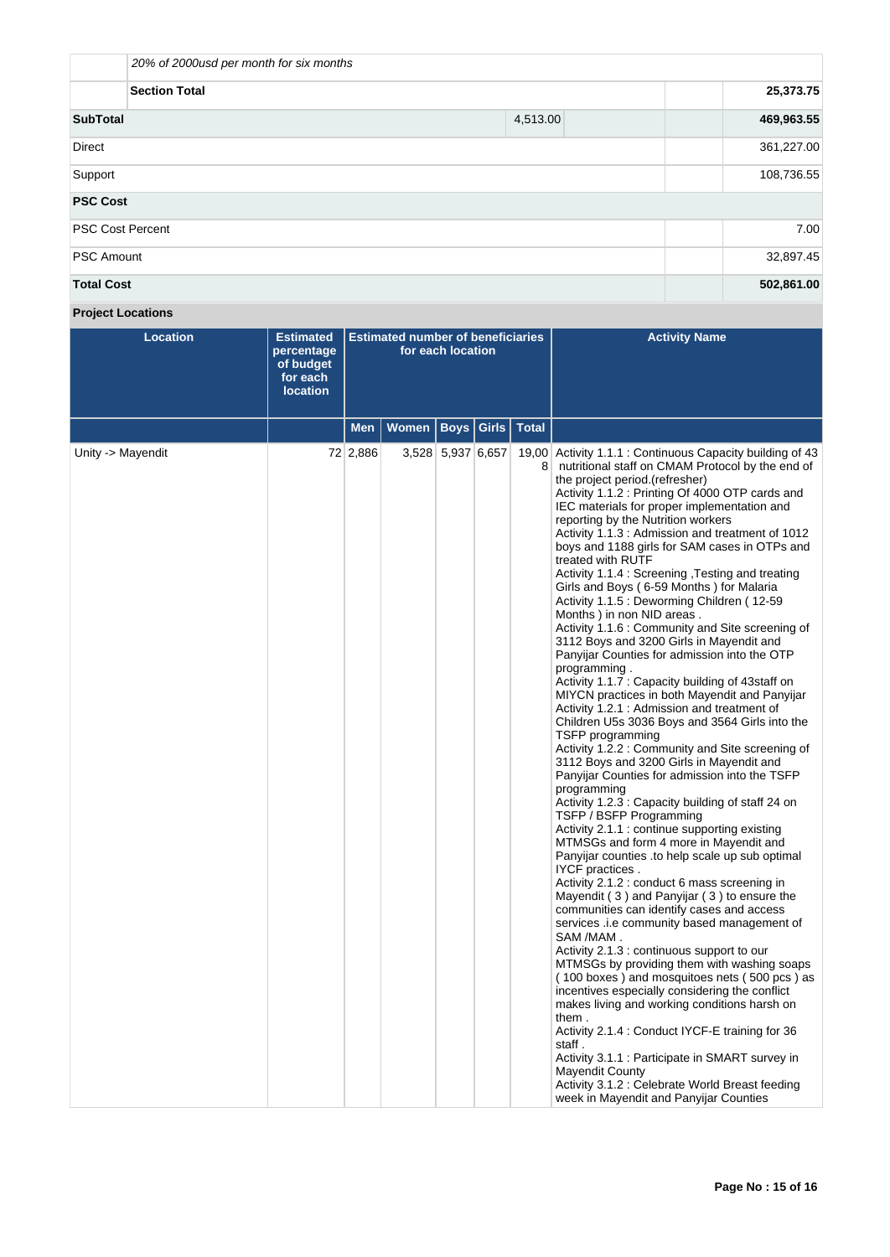|                         | 20% of 2000usd per month for six months |          |            |      |  |  |  |
|-------------------------|-----------------------------------------|----------|------------|------|--|--|--|
|                         | <b>Section Total</b>                    |          | 25,373.75  |      |  |  |  |
| <b>SubTotal</b>         |                                         | 4,513.00 | 469,963.55 |      |  |  |  |
| <b>Direct</b>           |                                         |          | 361,227.00 |      |  |  |  |
| Support                 | 108,736.55                              |          |            |      |  |  |  |
| <b>PSC Cost</b>         |                                         |          |            |      |  |  |  |
| <b>PSC Cost Percent</b> |                                         |          |            | 7.00 |  |  |  |
| <b>PSC Amount</b>       |                                         |          | 32,897.45  |      |  |  |  |
| <b>Total Cost</b>       |                                         |          | 502,861.00 |      |  |  |  |

**Project Locations**

| <b>Location</b>   | <b>Estimated</b><br>percentage<br>of budget<br>for each<br><b>location</b> | <b>Estimated number of beneficiaries</b><br>for each location |              |                   |                             |   | <b>Activity Name</b>                                                                                                                                                                                                                                                                                                                                                                                                                                                                                                                                                                                                                                                                                                                                                                                                                                                                                                                                                                                                                                                                                                                                                                                                                                                                                                                                                                                                                                                                                                                                                                                                                                                                                                                                                                                                                                                                                                                                                                                                                                                                               |
|-------------------|----------------------------------------------------------------------------|---------------------------------------------------------------|--------------|-------------------|-----------------------------|---|----------------------------------------------------------------------------------------------------------------------------------------------------------------------------------------------------------------------------------------------------------------------------------------------------------------------------------------------------------------------------------------------------------------------------------------------------------------------------------------------------------------------------------------------------------------------------------------------------------------------------------------------------------------------------------------------------------------------------------------------------------------------------------------------------------------------------------------------------------------------------------------------------------------------------------------------------------------------------------------------------------------------------------------------------------------------------------------------------------------------------------------------------------------------------------------------------------------------------------------------------------------------------------------------------------------------------------------------------------------------------------------------------------------------------------------------------------------------------------------------------------------------------------------------------------------------------------------------------------------------------------------------------------------------------------------------------------------------------------------------------------------------------------------------------------------------------------------------------------------------------------------------------------------------------------------------------------------------------------------------------------------------------------------------------------------------------------------------------|
|                   |                                                                            | Men                                                           | <b>Women</b> |                   | <b>Boys   Girls   Total</b> |   |                                                                                                                                                                                                                                                                                                                                                                                                                                                                                                                                                                                                                                                                                                                                                                                                                                                                                                                                                                                                                                                                                                                                                                                                                                                                                                                                                                                                                                                                                                                                                                                                                                                                                                                                                                                                                                                                                                                                                                                                                                                                                                    |
| Unity -> Mayendit |                                                                            | 72 2,886                                                      |              | 3,528 5,937 6,657 |                             | 8 | 19,00 Activity 1.1.1 : Continuous Capacity building of 43<br>nutritional staff on CMAM Protocol by the end of<br>the project period.(refresher)<br>Activity 1.1.2 : Printing Of 4000 OTP cards and<br>IEC materials for proper implementation and<br>reporting by the Nutrition workers<br>Activity 1.1.3 : Admission and treatment of 1012<br>boys and 1188 girls for SAM cases in OTPs and<br>treated with RUTF<br>Activity 1.1.4 : Screening, Testing and treating<br>Girls and Boys (6-59 Months) for Malaria<br>Activity 1.1.5 : Deworming Children (12-59<br>Months) in non NID areas.<br>Activity 1.1.6 : Community and Site screening of<br>3112 Boys and 3200 Girls in Mayendit and<br>Panyijar Counties for admission into the OTP<br>programming.<br>Activity 1.1.7: Capacity building of 43staff on<br>MIYCN practices in both Mayendit and Panyijar<br>Activity 1.2.1 : Admission and treatment of<br>Children U5s 3036 Boys and 3564 Girls into the<br>TSFP programming<br>Activity 1.2.2: Community and Site screening of<br>3112 Boys and 3200 Girls in Mayendit and<br>Panyijar Counties for admission into the TSFP<br>programming<br>Activity 1.2.3: Capacity building of staff 24 on<br>TSFP / BSFP Programming<br>Activity 2.1.1: continue supporting existing<br>MTMSGs and form 4 more in Mayendit and<br>Panyijar counties to help scale up sub optimal<br>IYCF practices.<br>Activity 2.1.2 : conduct 6 mass screening in<br>Mayendit (3) and Panyijar (3) to ensure the<br>communities can identify cases and access<br>services .i.e community based management of<br>SAM /MAM.<br>Activity 2.1.3 : continuous support to our<br>MTMSGs by providing them with washing soaps<br>(100 boxes) and mosquitoes nets (500 pcs) as<br>incentives especially considering the conflict<br>makes living and working conditions harsh on<br>them.<br>Activity 2.1.4 : Conduct IYCF-E training for 36<br>staff.<br>Activity 3.1.1 : Participate in SMART survey in<br>Mayendit County<br>Activity 3.1.2 : Celebrate World Breast feeding<br>week in Mayendit and Panyijar Counties |